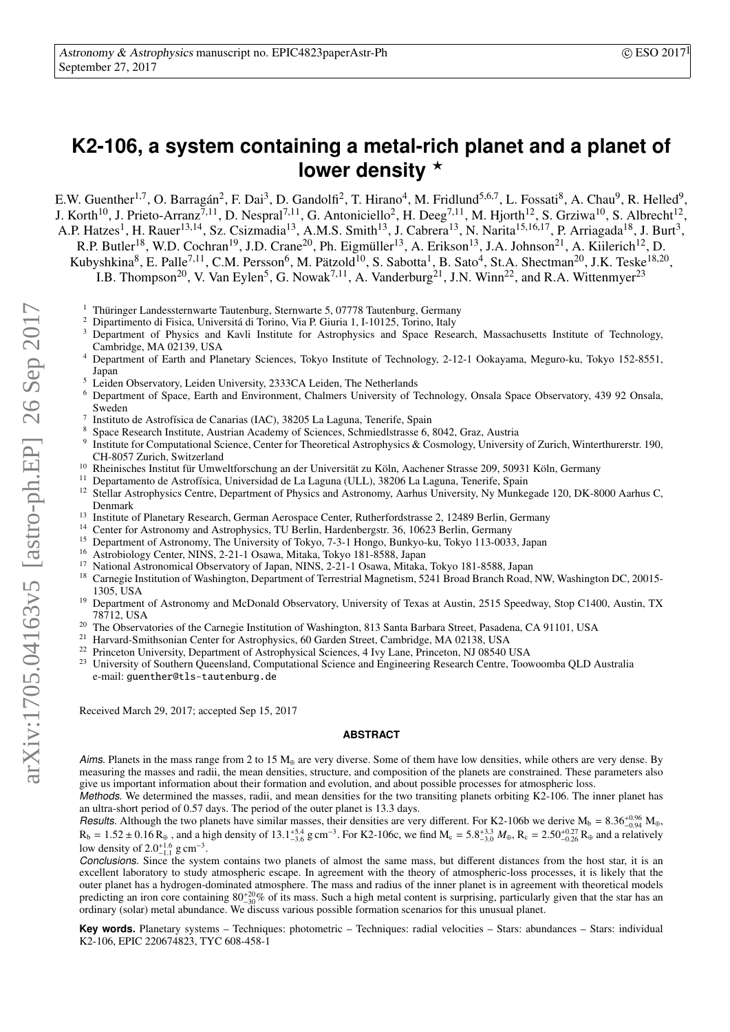# **K2-106, a system containing a metal-rich planet and a planet of** lower density  $\star$

E.W. Guenther<sup>1,7</sup>, O. Barragán<sup>2</sup>, F. Dai<sup>3</sup>, D. Gandolfi<sup>2</sup>, T. Hirano<sup>4</sup>, M. Fridlund<sup>5,6,7</sup>, L. Fossati<sup>8</sup>, A. Chau<sup>9</sup>, R. Helled<sup>9</sup>, J. Korth<sup>10</sup>, J. Prieto-Arranz<sup>7,11</sup>, D. Nespral<sup>7,11</sup>, G. Antoniciello<sup>2</sup>, H. Deeg<sup>7,11</sup>, M. Hjorth<sup>12</sup>, S. Grziwa<sup>10</sup>, S. Albrecht<sup>12</sup>, A.P. Hatzes<sup>1</sup>, H. Rauer<sup>13,14</sup>, Sz. Csizmadia<sup>13</sup>, A.M.S. Smith<sup>13</sup>, J. Cabrera<sup>13</sup>, N. Narita<sup>15,16,17</sup>, P. Arriagada<sup>18</sup>, J. Burt<sup>3</sup>, R.P. Butler<sup>18</sup>, W.D. Cochran<sup>19</sup>, J.D. Crane<sup>20</sup>, Ph. Eigmüller<sup>13</sup>, A. Erikson<sup>13</sup>, J.A. Johnson<sup>21</sup>, A. Kiilerich<sup>12</sup>, D. Kubyshkina<sup>8</sup>, E. Palle<sup>7,11</sup>, C.M. Persson<sup>6</sup>, M. Pätzold<sup>10</sup>, S. Sabotta<sup>1</sup>, B. Sato<sup>4</sup>, St.A. Shectman<sup>20</sup>, J.K. Teske<sup>18,20</sup>,

I.B. Thompson<sup>20</sup>, V. Van Eylen<sup>5</sup>, G. Nowak<sup>7,11</sup>, A. Vanderburg<sup>21</sup>, J.N. Winn<sup>22</sup>, and R.A. Wittenmyer<sup>23</sup>

- <sup>1</sup> Thüringer Landessternwarte Tautenburg, Sternwarte 5, 07778 Tautenburg, Germany
- <sup>2</sup> Dipartimento di Fisica, Universitá di Torino, Via P. Giuria 1, I-10125, Torino, Italy  $\frac{3}{2}$  Department of Physics and Kayli, Institute for Astrophysics and Space Reset
- <sup>3</sup> Department of Physics and Kavli Institute for Astrophysics and Space Research, Massachusetts Institute of Technology, Cambridge, MA 02139, USA
- <sup>4</sup> Department of Earth and Planetary Sciences, Tokyo Institute of Technology, 2-12-1 Ookayama, Meguro-ku, Tokyo 152-8551, Japan
- <sup>5</sup> Leiden Observatory, Leiden University, 2333CA Leiden, The Netherlands
- <sup>6</sup> Department of Space, Earth and Environment, Chalmers University of Technology, Onsala Space Observatory, 439 92 Onsala, Sweden 7
- Instituto de Astrofísica de Canarias (IAC), 38205 La Laguna, Tenerife, Spain
- <sup>8</sup> Space Research Institute, Austrian Academy of Sciences, Schmiedlstrasse 6, 8042, Graz, Austria
- 9 Institute for Computational Science, Center for Theoretical Astrophysics & Cosmology, University of Zurich, Winterthurerstr. 190, CH-8057 Zurich, Switzerland
- <sup>10</sup> Rheinisches Institut für Umweltforschung an der Universität zu Köln, Aachener Strasse 209, 50931 Köln, Germany
- <sup>11</sup> Departamento de Astrofísica, Universidad de La Laguna (ULL), 38206 La Laguna, Tenerife, Spain  $\frac{12}{12}$  Steller Astrophysics Centre, Department of Dhysics and Astronomy, Asphys University, Ny Munko
- <sup>12</sup> Stellar Astrophysics Centre, Department of Physics and Astronomy, Aarhus University, Ny Munkegade 120, DK-8000 Aarhus C, Denmark
- <sup>13</sup> Institute of Planetary Research, German Aerospace Center, Rutherfordstrasse 2, 12489 Berlin, Germany
- <sup>14</sup> Center for Astronomy and Astrophysics, TU Berlin, Hardenbergstr. 36, 10623 Berlin, Germany
- <sup>15</sup> Department of Astronomy, The University of Tokyo, 7-3-1 Hongo, Bunkyo-ku, Tokyo 113-0033, Japan
- <sup>16</sup> Astrobiology Center, NINS, 2-21-1 Osawa, Mitaka, Tokyo 181-8588, Japan<br><sup>17</sup> National Astronomiaal Observatory of Japan NINS, 2-21-1 Osawa, Mitaka
- <sup>17</sup> National Astronomical Observatory of Japan, NINS, 2-21-1 Osawa, Mitaka, Tokyo 181-8588, Japan<br><sup>18</sup> Carnegia Institution of Washington, Department of Tarrestrial Magnetism, 5241 Broad Branch Pood
- <sup>18</sup> Carnegie Institution of Washington, Department of Terrestrial Magnetism, 5241 Broad Branch Road, NW, Washington DC, 20015- 1305, USA
- <sup>19</sup> Department of Astronomy and McDonald Observatory, University of Texas at Austin, 2515 Speedway, Stop C1400, Austin, TX 78712, USA
- <sup>20</sup> The Observatories of the Carnegie Institution of Washington, 813 Santa Barbara Street, Pasadena, CA 91101, USA
- <sup>21</sup> Harvard-Smithsonian Center for Astrophysics, 60 Garden Street, Cambridge, MA 02138, USA
- <sup>22</sup> Princeton University, Department of Astrophysical Sciences, 4 Ivy Lane, Princeton, NJ 08540 USA
- <sup>23</sup> University of Southern Queensland, Computational Science and Engineering Research Centre, Toowoomba QLD Australia e-mail: guenther@tls-tautenburg.de

Received March 29, 2017; accepted Sep 15, 2017

#### **ABSTRACT**

Aims. Planets in the mass range from 2 to 15  $M_{\odot}$  are very diverse. Some of them have low densities, while others are very dense. By measuring the masses and radii, the mean densities, structure, and composition of the planets are constrained. These parameters also give us important information about their formation and evolution, and about possible processes for atmospheric loss.

Methods. We determined the masses, radii, and mean densities for the two transiting planets orbiting K2-106. The inner planet has an ultra-short period of 0.57 days. The period of the outer planet is 13.3 days.

Results. Although the two planets have similar masses, their densities are very different. For K2-106b we derive  $M_b = 8.36_{-0.94}^{+0.96} M_{\oplus}$ ,<br> $R = 1.52 \pm 0.16R_{\oplus}$  and a bigh density of 13.1<sup>+5.4</sup> g cm<sup>-3</sup>. For K2.106  $R_b = 1.52 \pm 0.16 R_\oplus$ , and a high density of 13.1<sup>+5.4</sup> g cm<sup>-3</sup>. For K2-106c, we find  $M_c = 5.8^{+3.3}_{-3.0} M_\oplus$ ,  $R_c = 2.50^{+0.27}_{-0.26} R_\oplus$  and a relatively<br>low density of 2.0<sup>+1.6</sup> g cm<sup>-3</sup> low density of  $2.0^{+1.6}_{-1.1}$  g cm<sup>-3</sup>.<br>Conclusions Since the syste

For density of 2.0–<sub>1.1</sub> genters.<br>Conclusions. Since the system contains two planets of almost the same mass, but different distances from the host star, it is an excellent laboratory to study atmospheric escape. In agreement with the theory of atmospheric-loss processes, it is likely that the outer planet has a hydrogen-dominated atmosphere. The mass and radius of the inner planet is in agreement with theoretical models predicting an iron core containing  $80^{+20}_{-30}\%$  of its mass. Such a high metal content is surprising, particularly given that the star has an ordinary (solar) metal abundance. We discuss various possible formation scenarios for this unusual planet.

**Key words.** Planetary systems – Techniques: photometric – Techniques: radial velocities – Stars: abundances – Stars: individual K2-106, EPIC 220674823, TYC 608-458-1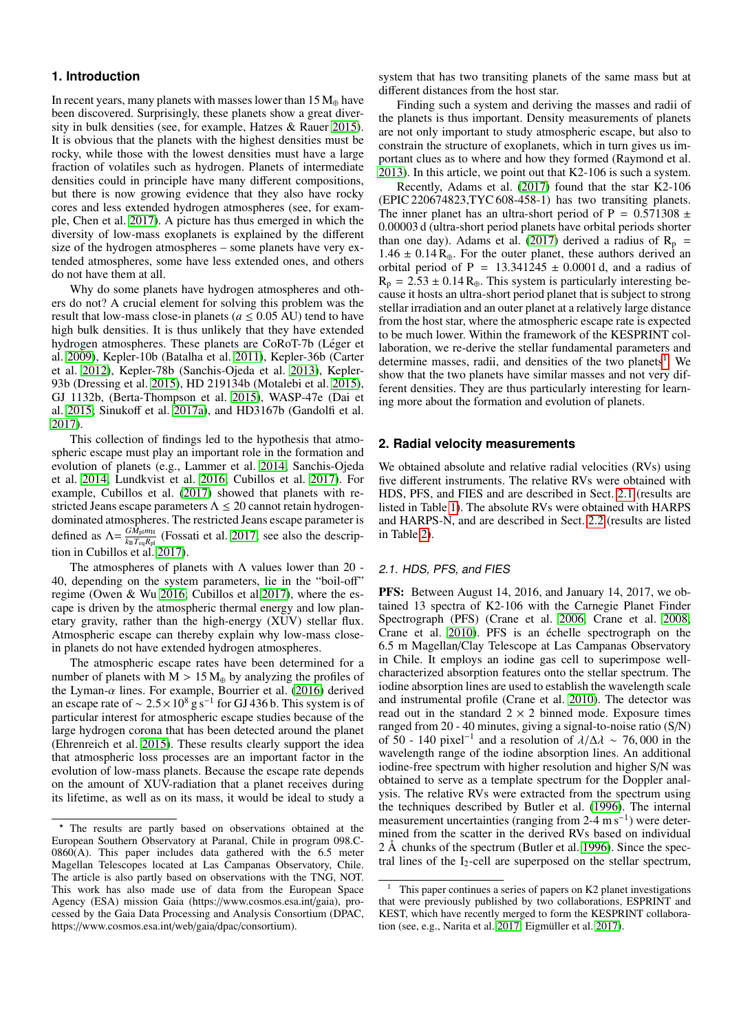# **1. Introduction**

In recent years, many planets with masses lower than  $15 M_{\oplus}$  have been discovered. Surprisingly, these planets show a great diversity in bulk densities (see, for example, Hatzes & Rauer [2015\)](#page-10-0). It is obvious that the planets with the highest densities must be rocky, while those with the lowest densities must have a large fraction of volatiles such as hydrogen. Planets of intermediate densities could in principle have many different compositions, but there is now growing evidence that they also have rocky cores and less extended hydrogen atmospheres (see, for example, Chen et al. [2017\)](#page-9-0). A picture has thus emerged in which the diversity of low-mass exoplanets is explained by the different size of the hydrogen atmospheres – some planets have very extended atmospheres, some have less extended ones, and others do not have them at all.

Why do some planets have hydrogen atmospheres and others do not? A crucial element for solving this problem was the result that low-mass close-in planets ( $a \leq 0.05$  AU) tend to have high bulk densities. It is thus unlikely that they have extended hydrogen atmospheres. These planets are CoRoT-7b (Léger et al. [2009\)](#page-10-1), Kepler-10b (Batalha et al. [2011\)](#page-9-1), Kepler-36b (Carter et al. [2012\)](#page-9-2), Kepler-78b (Sanchis-Ojeda et al. [2013\)](#page-10-2), Kepler-93b (Dressing et al. [2015\)](#page-9-3), HD 219134b (Motalebi et al. [2015\)](#page-10-3), GJ 1132b, (Berta-Thompson et al. [2015\)](#page-9-4), WASP-47e (Dai et al. [2015;](#page-9-5) Sinukoff et al. [2017a\)](#page-10-4), and HD3167b (Gandolfi et al. [2017\)](#page-9-6).

This collection of findings led to the hypothesis that atmospheric escape must play an important role in the formation and evolution of planets (e.g., Lammer et al. [2014;](#page-10-5) Sanchis-Ojeda et al. [2014;](#page-10-6) Lundkvist et al. [2016;](#page-10-7) Cubillos et al. [2017\)](#page-9-7). For example, Cubillos et al. [\(2017\)](#page-9-7) showed that planets with restricted Jeans escape parameters  $\Lambda \leq 20$  cannot retain hydrogendominated atmospheres. The restricted Jeans escape parameter is defined as  $\Lambda = \frac{GM_{\text{pl}}m_{\text{H}}}{k_B T_{\text{eq}} R_{\text{pl}}}$  (Fossati et al. [2017;](#page-9-8) see also the description in Cubillos et al. [2017\)](#page-9-7).

The atmospheres of planets with  $\Lambda$  values lower than 20 -40, depending on the system parameters, lie in the "boil-off" regime (Owen & Wu [2016;](#page-10-8) Cubillos et al[.2017\)](#page-9-7), where the escape is driven by the atmospheric thermal energy and low planetary gravity, rather than the high-energy (XUV) stellar flux. Atmospheric escape can thereby explain why low-mass closein planets do not have extended hydrogen atmospheres.

The atmospheric escape rates have been determined for a number of planets with  $M > 15 M_{\oplus}$  by analyzing the profiles of the Lyman- $\alpha$  lines. For example, Bourrier et al. [\(2016\)](#page-9-9) derived an escape rate of  $\sim 2.5 \times 10^8$  g s<sup>-1</sup> for GJ 436 b. This system is of narticular interest for atmospheric escape studies because of the particular interest for atmospheric escape studies because of the large hydrogen corona that has been detected around the planet (Ehrenreich et al. [2015\)](#page-9-10). These results clearly support the idea that atmospheric loss processes are an important factor in the evolution of low-mass planets. Because the escape rate depends on the amount of XUV-radiation that a planet receives during its lifetime, as well as on its mass, it would be ideal to study a system that has two transiting planets of the same mass but at different distances from the host star.

Finding such a system and deriving the masses and radii of the planets is thus important. Density measurements of planets are not only important to study atmospheric escape, but also to constrain the structure of exoplanets, which in turn gives us important clues as to where and how they formed (Raymond et al. [2013\)](#page-10-9). In this article, we point out that K2-106 is such a system.

Recently, Adams et al. [\(2017\)](#page-9-11) found that the star K2-106 (EPIC 220674823,TYC 608-458-1) has two transiting planets. The inner planet has an ultra-short period of P =  $0.571308 \pm$ <sup>0</sup>.00003 d (ultra-short period planets have orbital periods shorter than one day). Adams et al. [\(2017\)](#page-9-11) derived a radius of  $R_p$  =  $1.46 \pm 0.14$  R<sub>⊕</sub>. For the outer planet, these authors derived an orbital period of P =  $13.341245 \pm 0.0001$  d, and a radius of  $R_p = 2.53 \pm 0.14 R_{\oplus}$ . This system is particularly interesting because it hosts an ultra-short period planet that is subject to strong stellar irradiation and an outer planet at a relatively large distance from the host star, where the atmospheric escape rate is expected to be much lower. Within the framework of the KESPRINT collaboration, we re-derive the stellar fundamental parameters and determine masses, radii, and densities of the two planets<sup>[1](#page-1-0)</sup>. We show that the two planets have similar masses and not very different densities. They are thus particularly interesting for learning more about the formation and evolution of planets.

# **2. Radial velocity measurements**

We obtained absolute and relative radial velocities (RVs) using five different instruments. The relative RVs were obtained with HDS, PFS, and FIES and are described in Sect. [2.1](#page-1-1) (results are listed in Table [1\)](#page-2-0). The absolute RVs were obtained with HARPS and HARPS-N, and are described in Sect. [2.2](#page-2-1) (results are listed in Table [2\)](#page-3-0).

## <span id="page-1-1"></span>2.1. HDS, PFS, and FIES

PFS: Between August 14, 2016, and January 14, 2017, we obtained 13 spectra of K2-106 with the Carnegie Planet Finder Spectrograph (PFS) (Crane et al. [2006,](#page-9-12) Crane et al. [2008;](#page-9-13) Crane et al. [2010\)](#page-9-14). PFS is an échelle spectrograph on the 6.5 m Magellan/Clay Telescope at Las Campanas Observatory in Chile. It employs an iodine gas cell to superimpose wellcharacterized absorption features onto the stellar spectrum. The iodine absorption lines are used to establish the wavelength scale and instrumental profile (Crane et al. [2010\)](#page-9-14). The detector was read out in the standard  $2 \times 2$  binned mode. Exposure times ranged from 20 - 40 minutes, giving a signal-to-noise ratio (S/N) of 50 - 140 pixel<sup>-1</sup> and a resolution of  $\lambda/\Delta\lambda \sim 76,000$  in the wavelength range of the jodine absorption lines. An additional wavelength range of the iodine absorption lines. An additional iodine-free spectrum with higher resolution and higher S/N was obtained to serve as a template spectrum for the Doppler analysis. The relative RVs were extracted from the spectrum using the techniques described by Butler et al. [\(1996\)](#page-9-15). The internal measurement uncertainties (ranging from 2-4 m s<sup>−</sup><sup>1</sup> ) were determined from the scatter in the derived RVs based on individual 2 Å chunks of the spectrum (Butler et al. [1996\)](#page-9-15). Since the spectral lines of the  $I_2$ -cell are superposed on the stellar spectrum,

<sup>?</sup> The results are partly based on observations obtained at the European Southern Observatory at Paranal, Chile in program 098.C-0860(A). This paper includes data gathered with the 6.5 meter Magellan Telescopes located at Las Campanas Observatory, Chile. The article is also partly based on observations with the TNG, NOT. This work has also made use of data from the European Space Agency (ESA) mission Gaia (https://www.cosmos.esa.int/gaia), processed by the Gaia Data Processing and Analysis Consortium (DPAC, https://www.cosmos.esa.int/web/gaia/dpac/consortium).

<span id="page-1-0"></span>This paper continues a series of papers on K2 planet investigations that were previously published by two collaborations, ESPRINT and KEST, which have recently merged to form the KESPRINT collabora-tion (see, e.g., Narita et al. [2017;](#page-10-10) Eigmüller et al. [2017\)](#page-9-16).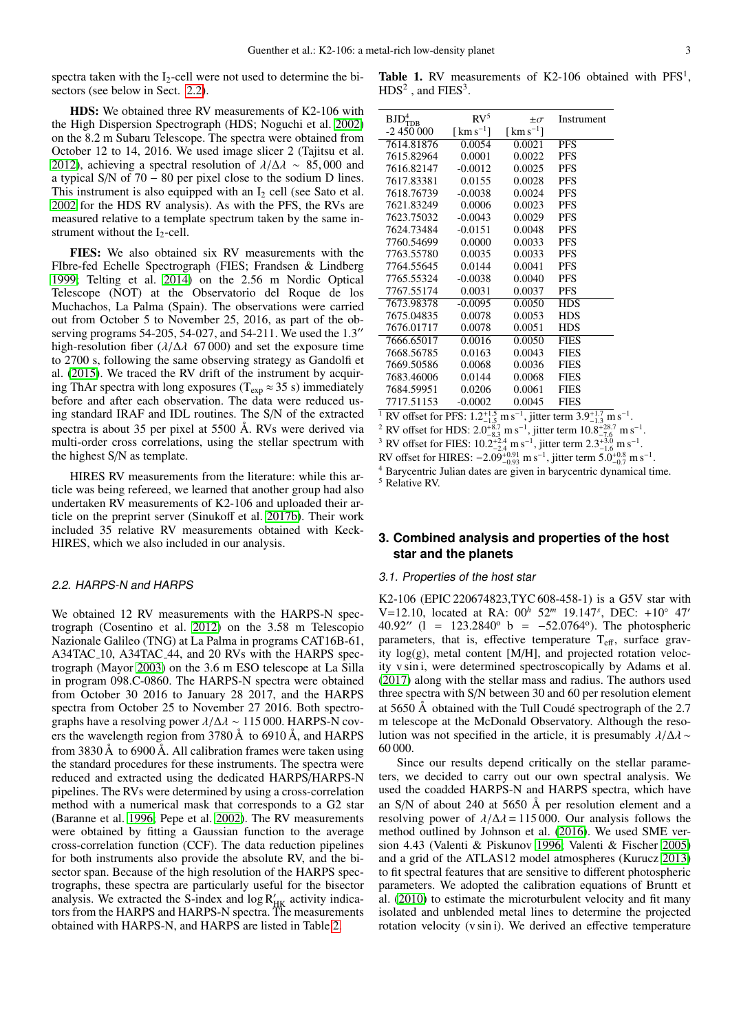spectra taken with the  $I_2$ -cell were not used to determine the bisectors (see below in Sect. [2.2\)](#page-2-1).

HDS: We obtained three RV measurements of K2-106 with the High Dispersion Spectrograph (HDS; Noguchi et al. [2002\)](#page-10-11) on the 8.2 m Subaru Telescope. The spectra were obtained from October 12 to 14, 2016. We used image slicer 2 (Tajitsu et al. [2012\)](#page-10-12), achieving a spectral resolution of  $\lambda/\Delta\lambda \sim 85,000$  and a typical S/N of 70 − 80 per pixel close to the sodium D lines. This instrument is also equipped with an  $I_2$  cell (see Sato et al. [2002](#page-10-13) for the HDS RV analysis). As with the PFS, the RVs are measured relative to a template spectrum taken by the same instrument without the  $I_2$ -cell.

FIES: We also obtained six RV measurements with the FIbre-fed Echelle Spectrograph (FIES; Frandsen & Lindberg [1999;](#page-9-17) Telting et al. [2014\)](#page-10-14) on the 2.56 m Nordic Optical Telescope (NOT) at the Observatorio del Roque de los Muchachos, La Palma (Spain). The observations were carried out from October 5 to November 25, 2016, as part of the observing programs 54-205, 54-027, and 54-211. We used the  $1.3$ " high-resolution fiber ( $\lambda/\Delta\lambda$  67 000) and set the exposure time to 2700 s, following the same observing strategy as Gandolfi et al. [\(2015\)](#page-9-18). We traced the RV drift of the instrument by acquiring ThAr spectra with long exposures ( $T_{exp} \approx 35$  s) immediately before and after each observation. The data were reduced using standard IRAF and IDL routines. The S/N of the extracted spectra is about 35 per pixel at 5500 Å. RVs were derived via multi-order cross correlations, using the stellar spectrum with the highest S/N as template.

HIRES RV measurements from the literature: while this article was being refereed, we learned that another group had also undertaken RV measurements of K2-106 and uploaded their article on the preprint server (Sinukoff et al. [2017b\)](#page-10-15). Their work included 35 relative RV measurements obtained with Keck-HIRES, which we also included in our analysis.

# <span id="page-2-1"></span>2.2. HARPS-N and HARPS

We obtained 12 RV measurements with the HARPS-N spectrograph (Cosentino et al. [2012\)](#page-9-19) on the 3.58 m Telescopio Nazionale Galileo (TNG) at La Palma in programs CAT16B-61, A34TAC 10, A34TAC 44, and 20 RVs with the HARPS spectrograph (Mayor [2003\)](#page-10-16) on the 3.6 m ESO telescope at La Silla in program 098.C-0860. The HARPS-N spectra were obtained from October 30 2016 to January 28 2017, and the HARPS spectra from October 25 to November 27 2016. Both spectrographs have a resolving power  $\lambda/\Delta\lambda \sim 115\,000$ . HARPS-N covers the wavelength region from  $3780 \text{\AA}$  to  $6910 \text{\AA}$ , and HARPS from 3830 Å to 6900 Å. All calibration frames were taken using the standard procedures for these instruments. The spectra were reduced and extracted using the dedicated HARPS/HARPS-N pipelines. The RVs were determined by using a cross-correlation method with a numerical mask that corresponds to a G2 star (Baranne et al. [1996;](#page-9-20) Pepe et al. [2002\)](#page-10-17). The RV measurements were obtained by fitting a Gaussian function to the average cross-correlation function (CCF). The data reduction pipelines for both instruments also provide the absolute RV, and the bisector span. Because of the high resolution of the HARPS spectrographs, these spectra are particularly useful for the bisector analysis. We extracted the S-index and  $\log R'_{HK}$  activity indicators from the HARPS and HARPS-N spectra. The measurements obtained with HARPS-N, and HARPS are listed in Table [2.](#page-3-0)

<span id="page-2-0"></span>Table 1. RV measurements of K2-106 obtained with  $PFS<sup>1</sup>$ ,  $HDS<sup>2</sup>$ , and  $FIES<sup>3</sup>$ .

| $\text{BJD}_{\text{TDB}}^4$ | RV <sup>5</sup>     | $\pm \sigma$          | Instrument  |
|-----------------------------|---------------------|-----------------------|-------------|
| $-2450000$                  | [ $\rm km s^{-1}$ ] | $[{\rm\,km\,s^{-1}}]$ |             |
| 7614.81876                  | 0.0054              | 0.0021                | <b>PFS</b>  |
| 7615.82964                  | 0.0001              | 0.0022                | <b>PFS</b>  |
| 7616.82147                  | $-0.0012$           | 0.0025                | <b>PFS</b>  |
| 7617.83381                  | 0.0155              | 0.0028                | <b>PFS</b>  |
| 7618.76739                  | $-0.0038$           | 0.0024                | <b>PFS</b>  |
| 7621.83249                  | 0.0006              | 0.0023                | <b>PFS</b>  |
| 7623.75032                  | $-0.0043$           | 0.0029                | PFS         |
| 7624.73484                  | $-0.0151$           | 0.0048                | <b>PFS</b>  |
| 7760.54699                  | 0.0000              | 0.0033                | <b>PFS</b>  |
| 7763.55780                  | 0.0035              | 0.0033                | PFS         |
| 7764.55645                  | 0.0144              | 0.0041                | <b>PFS</b>  |
| 7765.55324                  | $-0.0038$           | 0.0040                | PFS         |
| 7767.55174                  | 0.0031              | 0.0037                | <b>PFS</b>  |
| 7673.98378                  | $-0.0095$           | 0.0050                | <b>HDS</b>  |
| 7675.04835                  | 0.0078              | 0.0053                | <b>HDS</b>  |
| 7676.01717                  | 0.0078              | 0.0051                | <b>HDS</b>  |
| 7666.65017                  | 0.0016              | 0.0050                | <b>FIES</b> |
| 7668.56785                  | 0.0163              | 0.0043                | <b>FIES</b> |
| 7669.50586                  | 0.0068              | 0.0036                | <b>FIES</b> |
| 7683.46006                  | 0.0144              | 0.0068                | <b>FIES</b> |
| 7684.59951                  | 0.0206              | 0.0061                | <b>FIES</b> |
| 7717.51153                  | $-0.0002$           | 0.0045                | FIES        |
|                             | .1 <sub>c</sub>     | х.                    | $-17$       |

<sup>1</sup> RV offset for PFS:  $1.2^{+1.5}_{-1.5}$  m s<sup>-1</sup>, jitter term  $3.9^{+1.7}_{-1.3}$  m s<sup>-1</sup>.<br><sup>2</sup> PV offset for HDS:  $2.0^{+8.7}$  m s<sup>-1</sup> jitter term  $10.8^{+28.7}$  m s

<sup>2</sup> RV offset for HDS:  $2.0^{+8.7}_{-8.3}$  m s<sup>-1</sup>, jitter term  $10.8^{+28.7}_{-7.6}$  m s<sup>-1</sup>.<br><sup>3</sup> PV offset for EIES:  $10.2^{+2.4}_{-2.4}$  m s<sup>-1</sup> jitter term  $2.3^{+3.0}_{-1.2}$  m s<sup>-1</sup>

<sup>3</sup> RV offset for FIES:  $10.2^{+2.4}_{-2.4}$  m s<sup>-1</sup>, jitter term  $2.3^{+3.0}_{-1.6}$  m s<sup>-1</sup>.<br>PV offset for HIPES:  $2.00^{+0.91}$  m s<sup>-1</sup> itter term 5.0<sup>+0.8</sup> m s

RV offset for HIRES:  $-2.09_{-0.91}^{+0.91}$  m s<sup>-1</sup>, jitter term  $5.0_{-0.7}^{+0.8}$  m s<sup>-1</sup>.<br><sup>4</sup> Berveentric Julian dates are given in berveentric dynamical ti

<sup>4</sup> Barycentric Julian dates are given in barycentric dynamical time. <sup>5</sup> Relative RV.

# **3. Combined analysis and properties of the host star and the planets**

#### <span id="page-2-2"></span>3.1. Properties of the host star

K2-106 (EPIC 220674823,TYC 608-458-1) is a G5V star with V=12.10, located at RA:  $00^h$  52<sup>*m*</sup> 19.147<sup>*s*</sup>, DEC: +10<sup>°</sup> 47<sup>*t*</sup> 40.92*''* (1 = 123.2840<sup>°</sup> b = -52.0764<sup>°</sup>). The photospheric 40.92" ( $l = 123.2840$ <sup>o</sup>  $b = -52.0764$ <sup>o</sup>). The photospheric parameters that is effective temperature  $T_{\text{eff}}$  surface gravparameters, that is, effective temperature  $T_{\text{eff}}$ , surface gravity  $log(g)$ , metal content [M/H], and projected rotation velocity v sin i, were determined spectroscopically by Adams et al. [\(2017\)](#page-9-11) along with the stellar mass and radius. The authors used three spectra with S/N between 30 and 60 per resolution element at 5650 Å obtained with the Tull Coude spectrograph of the 2.7 ´ m telescope at the McDonald Observatory. Although the resolution was not specified in the article, it is presumably  $\lambda/\Delta\lambda$  ∼ 60 000.

Since our results depend critically on the stellar parameters, we decided to carry out our own spectral analysis. We used the coadded HARPS-N and HARPS spectra, which have an S/N of about 240 at 5650 Å per resolution element and a resolving power of  $\lambda/\Delta\lambda = 115,000$ . Our analysis follows the method outlined by Johnson et al. [\(2016\)](#page-10-18). We used SME version 4.43 (Valenti & Piskunov [1996;](#page-10-19) Valenti & Fischer [2005\)](#page-10-20) and a grid of the ATLAS12 model atmospheres (Kurucz [2013\)](#page-10-21) to fit spectral features that are sensitive to different photospheric parameters. We adopted the calibration equations of Bruntt et al. [\(2010\)](#page-9-21) to estimate the microturbulent velocity and fit many isolated and unblended metal lines to determine the projected rotation velocity (v sin i). We derived an effective temperature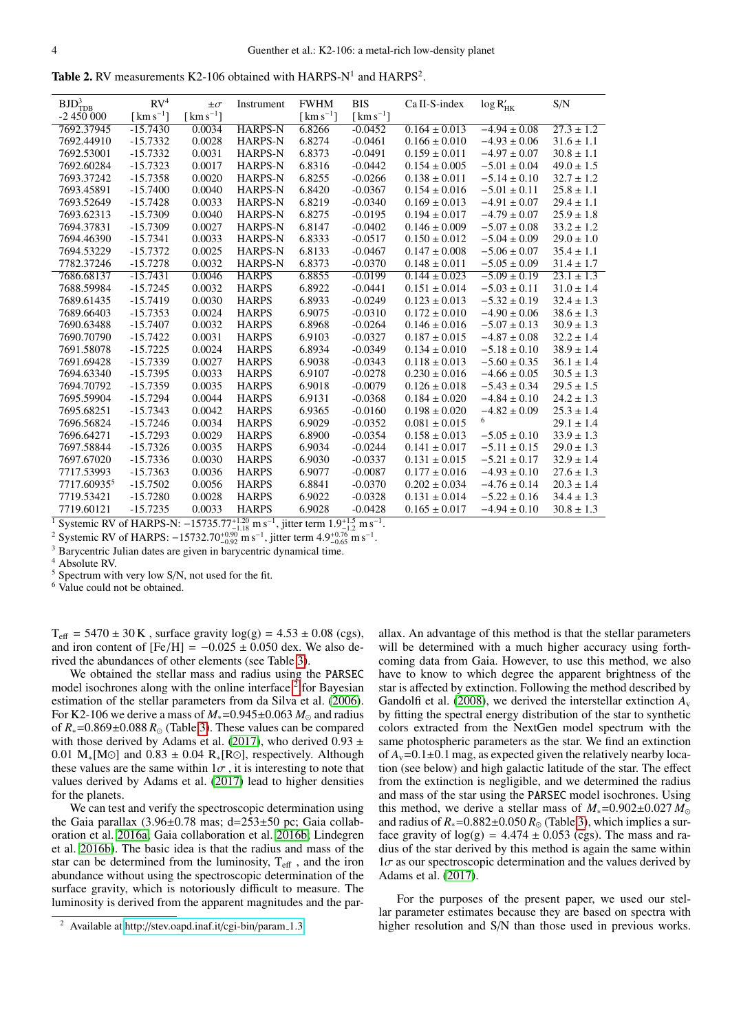<span id="page-3-0"></span>**Table 2.** RV measurements K2-106 obtained with HARPS- $N^1$  and HARPS<sup>2</sup>.

|                                           | RV <sup>4</sup>                      |                              |                                                                                       |                                                            |                                                  |                   |                  |                |
|-------------------------------------------|--------------------------------------|------------------------------|---------------------------------------------------------------------------------------|------------------------------------------------------------|--------------------------------------------------|-------------------|------------------|----------------|
| $\text{BJD}^3_{\text{TDB}}$<br>$-2450000$ | [ $\rm km s^{-1}$ ]                  | $\pm\sigma$<br>$[km s^{-1}]$ | Instrument                                                                            | <b>FWHM</b><br>$\left[\mathrm{km}\,\mathrm{s}^{-1}\right]$ | <b>BIS</b><br>[ $\mathrm{km}\,\mathrm{s}^{-1}$ ] | $Ca II-S-index$   | $\log R'_{HK}$   | S/N            |
| 7692.37945                                | $-15.7430$                           | 0.0034                       | <b>HARPS-N</b>                                                                        | 6.8266                                                     | $-0.0452$                                        | $0.164 \pm 0.013$ | $-4.94 \pm 0.08$ | $27.3 \pm 1.2$ |
| 7692.44910                                | $-15.7332$                           | 0.0028                       | <b>HARPS-N</b>                                                                        | 6.8274                                                     | $-0.0461$                                        | $0.166 \pm 0.010$ | $-4.93 \pm 0.06$ | $31.6 \pm 1.1$ |
| 7692.53001                                | $-15.7332$                           | 0.0031                       | <b>HARPS-N</b>                                                                        | 6.8373                                                     | $-0.0491$                                        | $0.159 \pm 0.011$ | $-4.97 \pm 0.07$ | $30.8 \pm 1.1$ |
| 7692.60284                                | $-15.7323$                           | 0.0017                       | <b>HARPS-N</b>                                                                        |                                                            | $-0.0442$                                        | $0.154 \pm 0.005$ |                  | $49.0 \pm 1.5$ |
| 7693.37242                                |                                      | 0.0020                       |                                                                                       | 6.8316                                                     |                                                  |                   | $-5.01 \pm 0.04$ |                |
|                                           | $-15.7358$                           |                              | <b>HARPS-N</b>                                                                        | 6.8255                                                     | $-0.0266$                                        | $0.138 \pm 0.011$ | $-5.14 \pm 0.10$ | $32.7 \pm 1.2$ |
| 7693.45891                                | $-15.7400$                           | 0.0040                       | <b>HARPS-N</b>                                                                        | 6.8420                                                     | $-0.0367$                                        | $0.154 \pm 0.016$ | $-5.01 \pm 0.11$ | $25.8 \pm 1.1$ |
| 7693.52649                                | $-15.7428$                           | 0.0033                       | <b>HARPS-N</b>                                                                        | 6.8219                                                     | $-0.0340$                                        | $0.169 \pm 0.013$ | $-4.91 \pm 0.07$ | $29.4 \pm 1.1$ |
| 7693.62313                                | $-15.7309$                           | 0.0040                       | <b>HARPS-N</b>                                                                        | 6.8275                                                     | $-0.0195$                                        | $0.194 \pm 0.017$ | $-4.79 \pm 0.07$ | $25.9 \pm 1.8$ |
| 7694.37831                                | $-15.7309$                           | 0.0027                       | <b>HARPS-N</b>                                                                        | 6.8147                                                     | $-0.0402$                                        | $0.146 \pm 0.009$ | $-5.07 \pm 0.08$ | $33.2 \pm 1.2$ |
| 7694.46390                                | $-15.7341$                           | 0.0033                       | <b>HARPS-N</b>                                                                        | 6.8333                                                     | $-0.0517$                                        | $0.150 \pm 0.012$ | $-5.04 \pm 0.09$ | $29.0 \pm 1.0$ |
| 7694.53229                                | $-15.7372$                           | 0.0025                       | <b>HARPS-N</b>                                                                        | 6.8133                                                     | $-0.0467$                                        | $0.147 \pm 0.008$ | $-5.06 \pm 0.07$ | $35.4 \pm 1.1$ |
| 7782.37246                                | $-15.7278$                           | 0.0032                       | <b>HARPS-N</b>                                                                        | 6.8373                                                     | $-0.0370$                                        | $0.148 \pm 0.011$ | $-5.05 \pm 0.09$ | $31.4 \pm 1.7$ |
| 7686.68137                                | $-15.7431$                           | 0.0046                       | <b>HARPS</b>                                                                          | 6.8855                                                     | $-0.0199$                                        | $0.144 \pm 0.023$ | $-5.09 \pm 0.19$ | $23.1 \pm 1.3$ |
| 7688.59984                                | $-15.7245$                           | 0.0032                       | <b>HARPS</b>                                                                          | 6.8922                                                     | $-0.0441$                                        | $0.151 \pm 0.014$ | $-5.03 \pm 0.11$ | $31.0 \pm 1.4$ |
| 7689.61435                                | $-15.7419$                           | 0.0030                       | <b>HARPS</b>                                                                          | 6.8933                                                     | $-0.0249$                                        | $0.123 \pm 0.013$ | $-5.32 \pm 0.19$ | $32.4 \pm 1.3$ |
| 7689.66403                                | $-15.7353$                           | 0.0024                       | <b>HARPS</b>                                                                          | 6.9075                                                     | $-0.0310$                                        | $0.172 \pm 0.010$ | $-4.90 \pm 0.06$ | $38.6 \pm 1.3$ |
| 7690.63488                                | $-15.7407$                           | 0.0032                       | <b>HARPS</b>                                                                          | 6.8968                                                     | $-0.0264$                                        | $0.146 \pm 0.016$ | $-5.07 \pm 0.13$ | $30.9 \pm 1.3$ |
| 7690.70790                                | $-15.7422$                           | 0.0031                       | <b>HARPS</b>                                                                          | 6.9103                                                     | $-0.0327$                                        | $0.187 \pm 0.015$ | $-4.87 \pm 0.08$ | $32.2 \pm 1.4$ |
| 7691.58078                                | $-15.7225$                           | 0.0024                       | <b>HARPS</b>                                                                          | 6.8934                                                     | $-0.0349$                                        | $0.134 \pm 0.010$ | $-5.18 \pm 0.10$ | $38.9 \pm 1.4$ |
| 7691.69428                                | $-15.7339$                           | 0.0027                       | <b>HARPS</b>                                                                          | 6.9038                                                     | $-0.0343$                                        | $0.118 \pm 0.013$ | $-5.60 \pm 0.35$ | $36.1 \pm 1.4$ |
| 7694.63340                                | $-15.7395$                           | 0.0033                       | <b>HARPS</b>                                                                          | 6.9107                                                     | $-0.0278$                                        | $0.230 \pm 0.016$ | $-4.66 \pm 0.05$ | $30.5 \pm 1.3$ |
| 7694.70792                                | $-15.7359$                           | 0.0035                       | <b>HARPS</b>                                                                          | 6.9018                                                     | $-0.0079$                                        | $0.126 \pm 0.018$ | $-5.43 \pm 0.34$ | $29.5 \pm 1.5$ |
| 7695.59904                                | $-15.7294$                           | 0.0044                       | <b>HARPS</b>                                                                          | 6.9131                                                     | $-0.0368$                                        | $0.184 \pm 0.020$ | $-4.84 \pm 0.10$ | $24.2 \pm 1.3$ |
| 7695.68251                                | $-15.7343$                           | 0.0042                       | <b>HARPS</b>                                                                          | 6.9365                                                     | $-0.0160$                                        | $0.198 \pm 0.020$ | $-4.82 \pm 0.09$ | $25.3 \pm 1.4$ |
| 7696.56824                                | $-15.7246$                           | 0.0034                       | <b>HARPS</b>                                                                          | 6.9029                                                     | $-0.0352$                                        | $0.081 \pm 0.015$ | 6                | $29.1 \pm 1.4$ |
| 7696.64271                                | $-15.7293$                           | 0.0029                       | <b>HARPS</b>                                                                          | 6.8900                                                     | $-0.0354$                                        | $0.158 \pm 0.013$ | $-5.05 \pm 0.10$ | $33.9 \pm 1.3$ |
| 7697.58844                                | $-15.7326$                           | 0.0035                       | <b>HARPS</b>                                                                          | 6.9034                                                     | $-0.0244$                                        | $0.141 \pm 0.017$ | $-5.11 \pm 0.15$ | $29.0 \pm 1.3$ |
| 7697.67020                                | $-15.7336$                           | 0.0030                       | <b>HARPS</b>                                                                          | 6.9030                                                     | $-0.0337$                                        | $0.131 \pm 0.015$ | $-5.21 \pm 0.17$ | $32.9 \pm 1.4$ |
| 7717.53993                                | $-15.7363$                           | 0.0036                       | <b>HARPS</b>                                                                          | 6.9077                                                     | $-0.0087$                                        | $0.177 \pm 0.016$ | $-4.93 \pm 0.10$ | $27.6 \pm 1.3$ |
| 7717.60935 <sup>5</sup>                   | $-15.7502$                           | 0.0056                       | <b>HARPS</b>                                                                          | 6.8841                                                     | $-0.0370$                                        | $0.202 \pm 0.034$ | $-4.76 \pm 0.14$ | $20.3 \pm 1.4$ |
| 7719.53421                                | $-15.7280$                           | 0.0028                       | <b>HARPS</b>                                                                          | 6.9022                                                     | $-0.0328$                                        | $0.131 \pm 0.014$ | $-5.22 \pm 0.16$ | $34.4 \pm 1.3$ |
| 7719.60121                                | $-15.7235$                           | 0.0033                       | <b>HARPS</b>                                                                          | 6.9028                                                     | $-0.0428$                                        | $0.165 \pm 0.017$ | $-4.94 \pm 0.10$ | $30.8 \pm 1.3$ |
|                                           | $Cvector$ DV of HADDC N <sub>1</sub> |                              | $15725.77\pm1.20$ m e <sup>-1</sup> iittor torm 1.0 <sup>+1.5</sup> m e <sup>-1</sup> |                                                            |                                                  |                   |                  |                |

<sup>1</sup> Systemic RV of HARPS-N: −15735.77<sup>+1.20</sup> m s<sup>-1</sup>, jitter term 1.9<sup>+1.5</sup> m s<sup>-1</sup>.<br>
<sup>2</sup> Systemic RV of HARPS: −15732.70<sup>+0.90</sup> m s<sup>-1</sup> iitter term 4.0<sup>+0.76</sup> m s<sup>-1</sup>.

<sup>2</sup> Systemic RV of HARPS:  $-15732.70^{+0.90}_{-0.92}$  m s<sup>-1</sup>, jitter term  $4.9^{+0.76}_{-0.05}$  m s<sup>-1</sup>.<br><sup>3</sup> Barycentric Julian dates are given in barycentric dynamical time

<sup>3</sup> Barycentric Julian dates are given in barycentric dynamical time.

<sup>4</sup> Absolute RV.

<sup>5</sup> Spectrum with very low S/N, not used for the fit.

<sup>6</sup> Value could not be obtained.

 $T_{\text{eff}} = 5470 \pm 30 \text{ K}$ , surface gravity  $\log(g) = 4.53 \pm 0.08$  (cgs), and iron content of  $[Fe/H] = -0.025 \pm 0.050$  dex. We also derived the abundances of other elements (see Table [3\)](#page-5-0).

We obtained the stellar mass and radius using the PARSEC model isochrones along with the online interface  $2^{\circ}$  $2^{\circ}$  for Bayesian estimation of the stellar parameters from da Silva et al. [\(2006\)](#page-9-22). For K2-106 we derive a mass of  $M_*$ =0.945±0.063  $M_{\odot}$  and radius of  $R_* = 0.869 \pm 0.088 R_{\odot}$  (Table [3\)](#page-5-0). These values can be compared with those derived by Adams et al. [\(2017\)](#page-9-11), who derived  $0.93 \pm$ 0.01  $M_{\ast}$ [M☉] and 0.83  $\pm$  0.04 R<sub>\*</sub>[R☉], respectively. Although these values are the same within  $1\sigma$ , it is interesting to note that values derived by Adams et al. [\(2017\)](#page-9-11) lead to higher densities for the planets.

We can test and verify the spectroscopic determination using the Gaia parallax  $(3.96\pm0.78 \text{ mas}; d=253\pm50 \text{ pc};$  Gaia collaboration et al. [2016a;](#page-9-23) Gaia collaboration et al. [2016b;](#page-9-24) Lindegren et al. [2016b\)](#page-10-22). The basic idea is that the radius and mass of the star can be determined from the luminosity,  $T_{\text{eff}}$ , and the iron abundance without using the spectroscopic determination of the surface gravity, which is notoriously difficult to measure. The luminosity is derived from the apparent magnitudes and the parallax. An advantage of this method is that the stellar parameters will be determined with a much higher accuracy using forthcoming data from Gaia. However, to use this method, we also have to know to which degree the apparent brightness of the star is affected by extinction. Following the method described by Gandolfi et al. [\(2008\)](#page-9-25), we derived the interstellar extinction *A*<sup>v</sup> by fitting the spectral energy distribution of the star to synthetic colors extracted from the NextGen model spectrum with the same photospheric parameters as the star. We find an extinction of  $A_v=0.1\pm0.1$  mag, as expected given the relatively nearby location (see below) and high galactic latitude of the star. The effect from the extinction is negligible, and we determined the radius and mass of the star using the PARSEC model isochrones. Using this method, we derive a stellar mass of  $M_* = 0.902 \pm 0.027 M_{\odot}$ and radius of  $R_* = 0.882 \pm 0.050 R_{\odot}$  (Table [3\)](#page-5-0), which implies a surface gravity of  $log(g) = 4.474 \pm 0.053$  (cgs). The mass and radius of the star derived by this method is again the same within  $1\sigma$  as our spectroscopic determination and the values derived by Adams et al. [\(2017\)](#page-9-11).

For the purposes of the present paper, we used our stellar parameter estimates because they are based on spectra with higher resolution and S/N than those used in previous works.

<span id="page-3-1"></span><sup>&</sup>lt;sup>2</sup> Available at http://[stev.oapd.inaf.it](http://stev.oapd.inaf.it/cgi-bin/param_1.3)/cgi-bin/param\_1.3.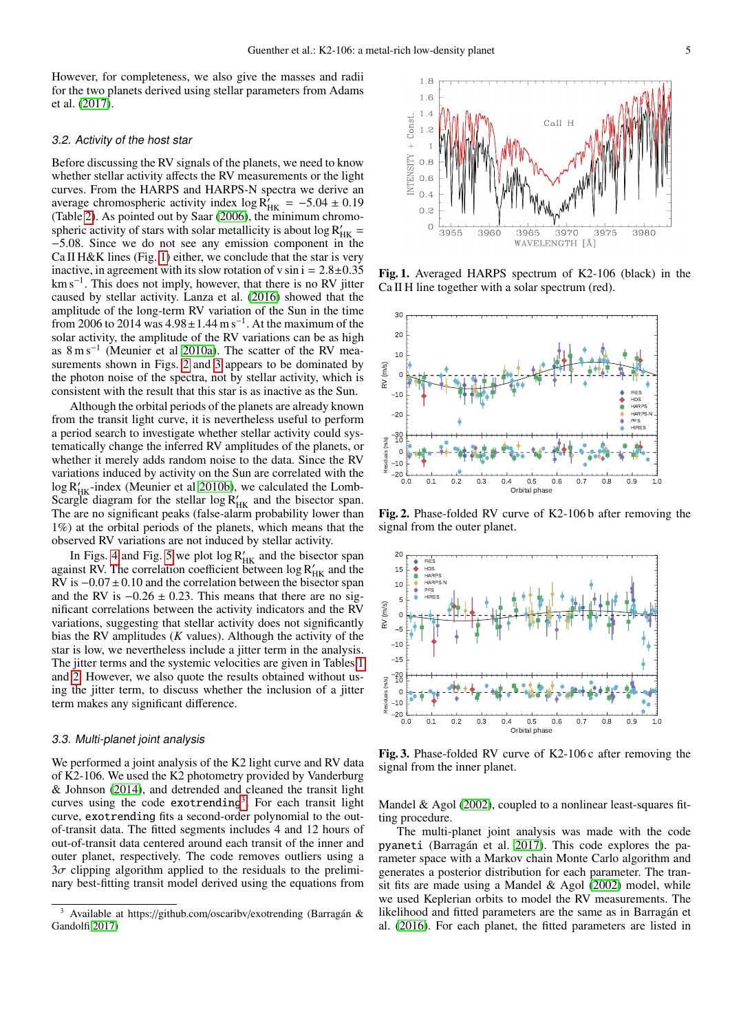$1.8$  $1.6$  $1.4$ 

 $1.2$  $\overline{1}$ 

However, for completeness, we also give the masses and radii for the two planets derived using stellar parameters from Adams et al. [\(2017\)](#page-9-11).

# 3.2. Activity of the host star

Before discussing the RV signals of the planets, we need to know whether stellar activity affects the RV measurements or the light curves. From the HARPS and HARPS-N spectra we derive an average chromospheric activity index  $\log R_{HK}^2 = -5.04 \pm 0.19$ <br>(Table 2) As pointed out by Saar (2006) the minimum chromo-(Table [2\)](#page-3-0). As pointed out by Saar [\(2006\)](#page-10-23), the minimum chromospheric activity of stars with solar metallicity is about  $log R'_{HK}$  = <sup>−</sup>5.08. Since we do not see any emission component in the Ca II H&K lines (Fig. [1\)](#page-4-0) either, we conclude that the star is very inactive, in agreement with its slow rotation of v sin  $i = 2.8 \pm 0.35$ km s−<sup>1</sup> . This does not imply, however, that there is no RV jitter caused by stellar activity. Lanza et al. [\(2016\)](#page-10-24) showed that the amplitude of the long-term RV variation of the Sun in the time from 2006 to 2014 was  $4.98 \pm 1.44$  m s<sup>-1</sup>. At the maximum of the solar activity the amplitude of the RV variations can be as high solar activity, the amplitude of the RV variations can be as high as 8 m s−<sup>1</sup> (Meunier et al [2010a\)](#page-10-25). The scatter of the RV measurements shown in Figs. [2](#page-4-1) and [3](#page-4-2) appears to be dominated by the photon noise of the spectra, not by stellar activity, which is consistent with the result that this star is as inactive as the Sun.

Although the orbital periods of the planets are already known from the transit light curve, it is nevertheless useful to perform a period search to investigate whether stellar activity could systematically change the inferred RV amplitudes of the planets, or whether it merely adds random noise to the data. Since the RV variations induced by activity on the Sun are correlated with the  $\log R'_{HK}$ -index (Meunier et al [2010b\)](#page-10-26), we calculated the Lomb-Scargle diagram for the stellar  $\log R'_{HK}$  and the bisector span. The are no significant peaks (false-alarm probability lower than 1%) at the orbital periods of the planets, which means that the observed RV variations are not induced by stellar activity.

In Figs. [4](#page-5-1) and Fig. [5](#page-5-2) we plot  $\log R'_{HK}$  and the bisector span against RV. The correlation coefficient between  $\log R'_{HK}$  and the RV is  $-0.07 \pm 0.10$  and the correlation between the bisector span and the RV is  $-0.26 \pm 0.23$ . This means that there are no significant correlations between the activity indicators and the RV variations, suggesting that stellar activity does not significantly bias the RV amplitudes (*K* values). Although the activity of the star is low, we nevertheless include a jitter term in the analysis. The jitter terms and the systemic velocities are given in Tables [1](#page-2-0) and [2.](#page-3-0) However, we also quote the results obtained without using the jitter term, to discuss whether the inclusion of a jitter term makes any significant difference.

# 3.3. Multi-planet joint analysis

We performed a joint analysis of the K2 light curve and RV data of K2-106. We used the K2 photometry provided by Vanderburg & Johnson [\(2014\)](#page-10-27), and detrended and cleaned the transit light curves using the code  $\mathsf{exotrending}^3$  $\mathsf{exotrending}^3$ . For each transit light curve, exotrending fits a second-order polynomial to the outof-transit data. The fitted segments includes 4 and 12 hours of out-of-transit data centered around each transit of the inner and outer planet, respectively. The code removes outliers using a  $3\sigma$  clipping algorithm applied to the residuals to the preliminary best-fitting transit model derived using the equations from

NTENSITY + Const.  $0.8$  $0.6$  $04$  $0.5$  $\overline{C}$ 3955 3960 3965  $3970$ 3975 3980 WAVELENGTH [Å]

CaII H

<span id="page-4-0"></span>Fig. 1. Averaged HARPS spectrum of K2-106 (black) in the Ca II H line together with a solar spectrum (red).



<span id="page-4-1"></span>Fig. 2. Phase-folded RV curve of K2-106 b after removing the signal from the outer planet.



<span id="page-4-2"></span>Fig. 3. Phase-folded RV curve of K2-106 c after removing the signal from the inner planet.

Mandel & Agol [\(2002\)](#page-10-28), coupled to a nonlinear least-squares fitting procedure.

The multi-planet joint analysis was made with the code pyaneti (Barragán et al. [2017\)](#page-9-26). This code explores the parameter space with a Markov chain Monte Carlo algorithm and generates a posterior distribution for each parameter. The transit fits are made using a Mandel & Agol [\(2002\)](#page-10-28) model, while we used Keplerian orbits to model the RV measurements. The likelihood and fitted parameters are the same as in Barragán et al. [\(2016\)](#page-9-27). For each planet, the fitted parameters are listed in

<span id="page-4-3"></span>Available at https://github.com/oscaribv/exotrending (Barragán  $\&$ Gandolfi [2017\)](#page-9-26)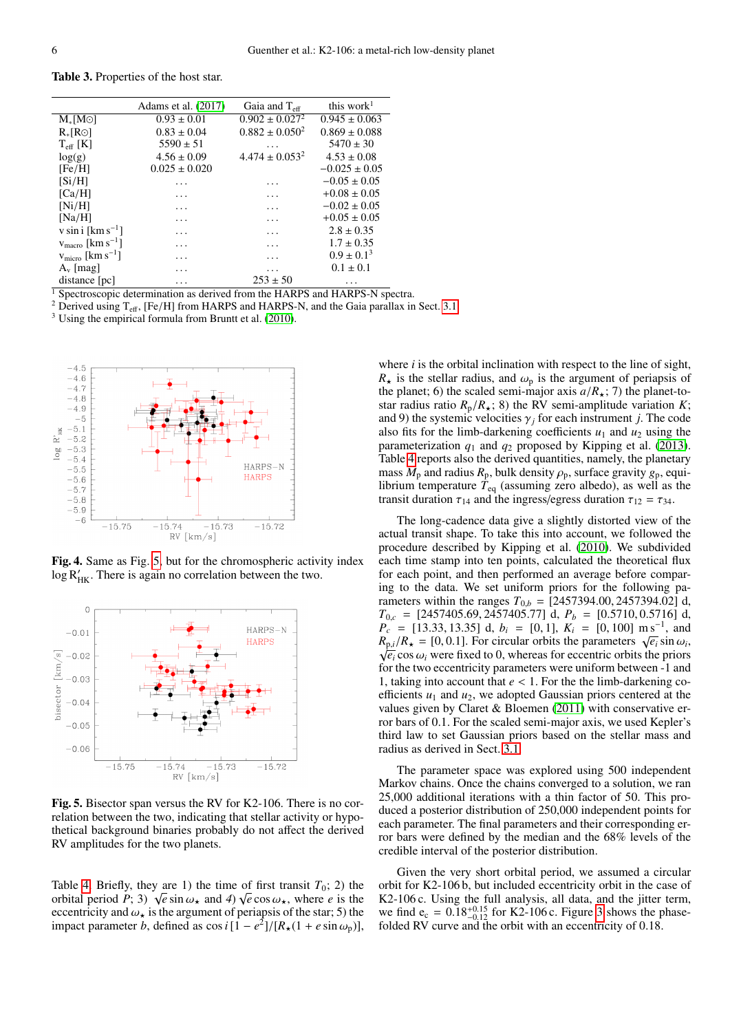<span id="page-5-0"></span>

| Table 3. Properties of the host star. |  |  |  |  |  |  |  |
|---------------------------------------|--|--|--|--|--|--|--|
|---------------------------------------|--|--|--|--|--|--|--|

|                                                                                         | Adams et al. (2017) | Gaia and $T_{\text{eff}}$ | this work <sup>1</sup> |  |  |
|-----------------------------------------------------------------------------------------|---------------------|---------------------------|------------------------|--|--|
| $M_{*}$ [M⊙]                                                                            | $0.93 \pm 0.01$     | $0.902 \pm 0.027^2$       | $0.945 \pm 0.063$      |  |  |
| $R_*[R\odot]$                                                                           | $0.83 \pm 0.04$     | $0.882 \pm 0.050^2$       | $0.869 \pm 0.088$      |  |  |
| $T_{\text{eff}}$ [K]                                                                    | $5590 \pm 51$       | .                         | $5470 \pm 30$          |  |  |
| log(g)                                                                                  | $4.56 \pm 0.09$     | $4.474 \pm 0.053^2$       | $4.53 \pm 0.08$        |  |  |
| [Fe/H]                                                                                  | $0.025 \pm 0.020$   |                           | $-0.025 \pm 0.05$      |  |  |
| [Si/H]                                                                                  | .                   |                           | $-0.05 \pm 0.05$       |  |  |
| [Ca/H]                                                                                  | .                   |                           | $+0.08 \pm 0.05$       |  |  |
| [Ni/H]                                                                                  | .                   | .                         | $-0.02 \pm 0.05$       |  |  |
| [Na/H]                                                                                  | .                   |                           | $+0.05 \pm 0.05$       |  |  |
| v sin i $\mathrm{[km\,s^{-1}]}$                                                         | .                   | .                         | $2.8 \pm 0.35$         |  |  |
| $v_{macro}$ [km s <sup>-1</sup> ]                                                       | .                   |                           | $1.7 \pm 0.35$         |  |  |
| $v_{micro}$ [km s <sup>-1</sup> ]                                                       | .                   | .                         | $0.9 \pm 0.1^3$        |  |  |
| $A_v$ [mag]                                                                             |                     | $\cdots$                  | $0.1 \pm 0.1$          |  |  |
| $distance$ [pc]                                                                         | $\ddotsc$           | $253 \pm 50$              | .                      |  |  |
| <sup>1</sup> Spectroscopic determination as derived from the HARPS and HARPS-N spectra. |                     |                           |                        |  |  |

<sup>2</sup> Derived using T<sub>eff</sub>, [Fe/H] from HARPS and HARPS-N, and the Gaia parallax in Sect. [3.1.](#page-2-2)

<sup>3</sup> Using the empirical formula from Bruntt et al. [\(2010\)](#page-9-21).



<span id="page-5-1"></span>Fig. 4. Same as Fig. [5,](#page-5-2) but for the chromospheric activity index  $\log R'_{HK}$ . There is again no correlation between the two.



<span id="page-5-2"></span>Fig. 5. Bisector span versus the RV for K2-106. There is no correlation between the two, indicating that stellar activity or hypothetical background binaries probably do not affect the derived RV amplitudes for the two planets.

Table [4.](#page-6-0) Briefly, they are 1) the time of first transit  $T_0$ ; 2) the Table 4. Briefly, they are 1) the time of first transit  $I_0$ ; 2) the orbital period *P*; 3)  $\sqrt{e} \sin \omega_x$  and 4)  $\sqrt{e} \cos \omega_x$ , where *e* is the eccentricity and  $\omega_x$  is the argument of periansis of the star: 5) the eccentricity and  $\omega_{\star}$  is the argument of periapsis of the star; 5) the impact parameter *b*, defined as  $\cos i [1 - e^2]/[R_{\star}(1 + e \sin \omega_p)],$ 

where *i* is the orbital inclination with respect to the line of sight,  $R_{\star}$  is the stellar radius, and  $\omega_{\rm p}$  is the argument of periapsis of the planet; 6) the scaled semi-major axis  $a/R_{\star}$ ; 7) the planet-tostar radius ratio  $R_p/R_{\star}$ ; 8) the RV semi-amplitude variation *K*; and 9) the systemic velocities  $\gamma_j$  for each instrument *j*. The code also fits for the limb-darkening coefficients  $u_1$  and  $u_2$  using the parameterization  $q_1$  and  $q_2$  proposed by Kipping et al. [\(2013\)](#page-10-29). Table [4](#page-6-0) reports also the derived quantities, namely, the planetary mass  $M_p$  and radius  $R_p$ , bulk density  $\rho_p$ , surface gravity  $g_p$ , equilibrium temperature *T*eq (assuming zero albedo), as well as the transit duration  $\tau_{14}$  and the ingress/egress duration  $\tau_{12} = \tau_{34}$ .

The long-cadence data give a slightly distorted view of the actual transit shape. To take this into account, we followed the procedure described by Kipping et al. [\(2010\)](#page-10-30). We subdivided each time stamp into ten points, calculated the theoretical flux for each point, and then performed an average before comparing to the data. We set uniform priors for the following parameters within the ranges  $T_{0,b} = [2457394.00, 2457394.02]$  d,  $T_{0,c}$  = [2457405.69, 2457405.77] d,  $P_b$  = [0.5710, 0.5716] d,  $P_a$  = [13.33, 13.35] d,  $b_i$  = [0.11]  $K_i$  = [0.100] m s<sup>-1</sup> and  $P_c = [13.33, 13.35]$  d,  $b_i = [0, 1]$ ,  $K_i = [0, 100]$  m s<sup>-1</sup>, and  $R_{c,i}/R_i = [0, 0.1]$ . For circular orbits the parameters  $\sqrt{e_i} \sin \omega_i$ .  $P_c = [15.55, 15.55]$  d,  $D_i = [0, 1]$ ,  $K_i = [0, 100]$  ins , and  $R_{p,i}/R_{\star} = [0, 0.1]$ . For circular orbits the parameters  $\sqrt{e_i} \sin \omega_i$ ,  $\sqrt{e_i} \cos \omega_i$  were fixed to 0, whereas for eccentric orbits the priors  $\sqrt{e_i}$  cos  $\omega_i$  were fixed to 0, whereas for eccentric orbits the priors for the two eccentricity parameters were uniform between -1 and 1, taking into account that *<sup>e</sup>* < 1. For the the limb-darkening coefficients  $u_1$  and  $u_2$ , we adopted Gaussian priors centered at the values given by Claret & Bloemen [\(2011\)](#page-9-28) with conservative error bars of 0.1. For the scaled semi-major axis, we used Kepler's third law to set Gaussian priors based on the stellar mass and radius as derived in Sect. [3.1.](#page-2-2)

The parameter space was explored using 500 independent Markov chains. Once the chains converged to a solution, we ran 25,000 additional iterations with a thin factor of 50. This produced a posterior distribution of 250,000 independent points for each parameter. The final parameters and their corresponding error bars were defined by the median and the 68% levels of the credible interval of the posterior distribution.

Given the very short orbital period, we assumed a circular orbit for K2-106 b, but included eccentricity orbit in the case of K2-106 c. Using the full analysis, all data, and the jitter term, we find  $e_c = 0.18_{-0.12}^{+0.15}$  for K2-106 c. Figure [3](#page-4-2) shows the phase-folded RV curve and the orbit with an eccentricity of 0.18.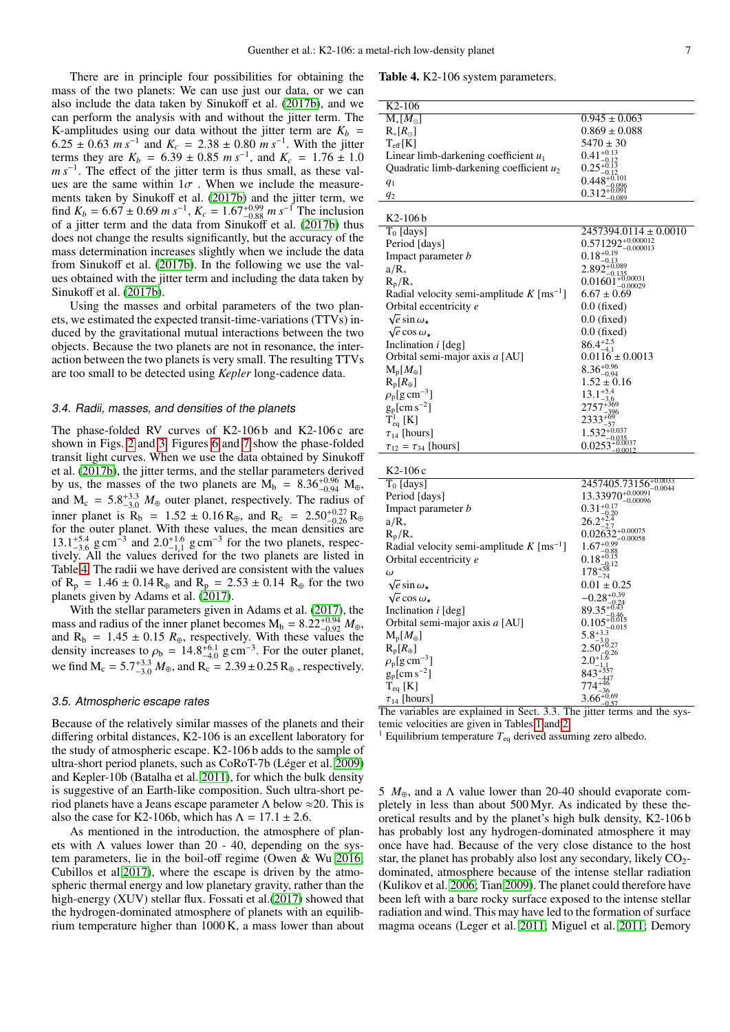There are in principle four possibilities for obtaining the mass of the two planets: We can use just our data, or we can also include the data taken by Sinukoff et al. [\(2017b\)](#page-10-15), and we can perform the analysis with and without the jitter term. The K-amplitudes using our data without the jitter term are  $K_b =$ 6.25 ± 0.63 *m s*<sup>−1</sup> and  $K_c$  = 2.38 ± 0.80 *m s*<sup>−1</sup>. With the jitter terms they are  $K_b$  = 6.39 + 0.85 *m* s<sup>−1</sup> and  $K_a$  = 1.76 + 1.0 terms they are  $K_b = 6.39 \pm 0.85$   $ms^{-1}$ , and  $K_c = 1.76 \pm 1.0$ <br> $ms^{-1}$ . The effect of the jitter term is thus small as these val*m s*<sup>−1</sup>. The effect of the jitter term is thus small, as these values are the same within  $1\sigma$ . When we include the measure-<br>ments taken by Sinukoff et al. [\(2017b\)](#page-10-15) and the jitter term, we find  $K_b = 6.67 \pm 0.69 \text{ m s}^{-1}$ ,  $K_c = 1.67_{-0.88}^{+0.99} \text{ m s}^{-1}$  The inclusion of a jitter term and the data from Sinukoff et al. [\(2017b\)](#page-10-15) thus does not change the results significantly, but the accuracy of the mass determination increases slightly when we include the data from Sinukoff et al. [\(2017b\)](#page-10-15). In the following we use the values obtained with the jitter term and including the data taken by Sinukoff et al. [\(2017b\)](#page-10-15).

Using the masses and orbital parameters of the two planets, we estimated the expected transit-time-variations (TTVs) induced by the gravitational mutual interactions between the two objects. Because the two planets are not in resonance, the interaction between the two planets is very small. The resulting TTVs are too small to be detected using *Kepler* long-cadence data.

# 3.4. Radii, masses, and densities of the planets

The phase-folded RV curves of K2-106 b and K2-106 c are shown in Figs. [2](#page-4-1) and [3.](#page-4-2) Figures [6](#page-7-0) and [7](#page-7-1) show the phase-folded transit light curves. When we use the data obtained by Sinukoff et al. [\(2017b\)](#page-10-15), the jitter terms, and the stellar parameters derived by us, the masses of the two planets are  $\overline{M}_b = 8.36^{+0.96}_{-0.94} M_{\oplus}$ ,<br>and  $\overline{M}_b = 5.8^{+3.3} M_{\odot}$  outer planet, respectively. The radius of and  $M_c = 5.8^{+3.3}_{-3.0}$   $M_\oplus$  outer planet, respectively. The radius of inner planet is  $R_c = 1.52 \pm 0.16R$  and  $R_c = 2.50^{+0.27}$  R inner planet is  $R_b = 1.52 \pm 0.16 R_{\oplus}$ , and  $R_c = 2.50^{+0.27}_{-0.26} R_{\oplus}$  for the outer planet. With these values, the mean densities are for the outer planet. With these values, the mean densities are 13.1<sup>+5.4</sup> g cm<sup>-3</sup> and 2.0<sup>+1.6</sup> g cm<sup>-3</sup> for the two planets, respectively. All the values derived for the two planets are listed in  $15.1_{-3.6}$  g cm and  $2.0_{-1.1}$  g cm for the two planets, respectively. All the values derived for the two planets are listed in Table [4.](#page-6-0) The radii we have derived are consistent with the values of  $R_p = 1.46 \pm 0.14 R_{\oplus}$  and  $R_p = 2.53 \pm 0.14 R_{\oplus}$  for the two planets given by Adams et al. [\(2017\)](#page-9-11).

With the stellar parameters given in Adams et al. [\(2017\)](#page-9-11), the mass and radius of the inner planet becomes  $M_b = 8.22^{+0.94}_{-0.92} M_{\oplus}$ , <sup>+0.94</sup> *M*⊕,<br>−0.92 *M*⊕,<br>alues the and  $R_b = 1.45 \pm 0.15$   $R_{\oplus}$ , respectively. With these values the density increases to  $\rho_b = 14.8^{+6.1}$  g cm<sup>-3</sup>. For the outer planet density increases to  $\rho_b = 14.8^{+6.1}_{-4.0}$  g cm<sup>-3</sup>. For the outer planet,<br>we find M = 5.7<sup>+3.3</sup> M and P = 2.30 + 0.25 P = respectively. we find  $M_c = 5.7^{+3.3}_{-3.0} M_{\oplus}$ , and  $R_c = 2.39 \pm 0.25 R_{\oplus}$ , respectively.

# <span id="page-6-1"></span>3.5. Atmospheric escape rates

Because of the relatively similar masses of the planets and their differing orbital distances, K2-106 is an excellent laboratory for the study of atmospheric escape. K2-106 b adds to the sample of ultra-short period planets, such as CoRoT-7b (Léger et al. [2009\)](#page-10-1) and Kepler-10b (Batalha et al. [2011\)](#page-9-1), for which the bulk density is suggestive of an Earth-like composition. Such ultra-short period planets have a Jeans escape parameter  $\Lambda$  below  $\approx 20$ . This is also the case for K2-106b, which has  $\Lambda = 17.1 \pm 2.6$ .

As mentioned in the introduction, the atmosphere of planets with  $\Lambda$  values lower than 20 - 40, depending on the system parameters, lie in the boil-off regime (Owen & Wu [2016;](#page-10-8) Cubillos et al[.2017\)](#page-9-7), where the escape is driven by the atmospheric thermal energy and low planetary gravity, rather than the high-energy (XUV) stellar flux. Fossati et al.[\(2017\)](#page-9-8) showed that the hydrogen-dominated atmosphere of planets with an equilibrium temperature higher than 1000 K, a mass lower than about

<span id="page-6-0"></span>Table 4. K<sub>2</sub>-106 system parameters.

| $K2-106$                                                                |                                                                                      |
|-------------------------------------------------------------------------|--------------------------------------------------------------------------------------|
| $\mathrm{M}_*[M_\odot]$                                                 | $\overline{0.945} \pm 0.063$                                                         |
| $R_*[R_{\odot}]$                                                        | $0.869 \pm 0.088$                                                                    |
| $T_{\text{eff}}[K]$                                                     | $5470 \pm 30$                                                                        |
| Linear limb-darkening coefficient $u_1$                                 | $0.41^{+0.13}_{-0.12}$                                                               |
| Quadratic limb-darkening coefficient $u_2$                              |                                                                                      |
|                                                                         | $0.25_{-0.12}^{-.0.12}_{-.0.12}$<br>0.448 <sup>+0.101</sup>                          |
| q <sub>1</sub>                                                          | $0.312_{-0.091}^{+0.096}$                                                            |
| q <sub>2</sub>                                                          |                                                                                      |
|                                                                         |                                                                                      |
| $K2-106b$                                                               |                                                                                      |
| $T_0$ [days]                                                            | $2457394.0114 \pm 0.0010$                                                            |
| Period [days]                                                           | $0.571292^{+0.000012}_{-0.000013}$                                                   |
| Impact parameter <i>b</i>                                               | $0.37125 - 0.0000$<br>0.18+0.19<br>2.892+0.089<br>0.01601+0.00031<br>0.01601+0.00029 |
| $a/R_*$                                                                 |                                                                                      |
| $R_p/R_*$                                                               |                                                                                      |
| Radial velocity semi-amplitude $K$ [ms <sup>-1</sup> ]                  | $6.67 \pm 0.69$                                                                      |
| Orbital eccentricity e                                                  | $0.0$ (fixed)                                                                        |
| $\sqrt{e}$ sin $\omega_{\star}$                                         | $0.0$ (fixed)                                                                        |
|                                                                         |                                                                                      |
| $\sqrt{e}$ cos $\omega_{\star}$                                         | $0.0$ (fixed)                                                                        |
| Inclination <i>i</i> [deg]                                              | $86.4^{+2.5}_{-4.1}$                                                                 |
| Orbital semi-major axis a [AU]                                          | $0.0116 \pm 0.0013$                                                                  |
| $\rm M_p$ [ $M_{\oplus}$ ]                                              | $8.36_{-0.94}^{+0.96}$                                                               |
| $R_{p}[R_{\oplus}]$                                                     | $1.52 \pm 0.16$                                                                      |
| $\rho_{\rm p}$ [g cm <sup>-3</sup> ]                                    | $13.1^{+5.4}_{-3.6}$                                                                 |
| $g_p$ [cm s <sup>-2</sup> ]                                             | $2757^{+369}_{-207}$                                                                 |
| $T_{eq}^1$ [K]                                                          | $2333^{+69}_{-27}$                                                                   |
| $\tau_{14}$ [hours]                                                     | $-57$                                                                                |
|                                                                         | $1.532_{-0.035}^{+0.037}$ $0.0253_{-0.0037}^{+0.0037}$                               |
| $\tau_{12} = \tau_{34}$ [hours]                                         |                                                                                      |
|                                                                         |                                                                                      |
| K2-106 c                                                                |                                                                                      |
| $T_0$ [days]                                                            | $24\overline{57405.73156^{+0.0033}_{0.0044}}$                                        |
| Period [days]                                                           | $13.33970^{+0.00091}_{-0.00001}$<br>$-0.00096$                                       |
| Impact parameter <i>b</i>                                               | $0.31_{-0.27}^{+0.17}$                                                               |
| $a/R_*$                                                                 | $26.2^{+2.20}_{-2.7}$                                                                |
| $R_p/R_*$                                                               | $0.02632^{+0.00075}_{-0.00075}$<br>$-0.00058$                                        |
| Radial velocity semi-amplitude $K$ [ms <sup>-1</sup> ]                  | $1.67^{+0.99}_{-0.99}$                                                               |
| Orbital eccentricity e                                                  | $0.18^{+0.88}_{+0.15}$                                                               |
| $\omega$                                                                | $178^{+58}_{-74}$                                                                    |
|                                                                         |                                                                                      |
| $\sqrt{e}$ sin $\omega_{\star}$                                         | $0.01 \pm 0.25$                                                                      |
| $\sqrt{e}$ cos $\omega_{\star}$                                         | $-0.28^{+0.39}_{-0.25}$                                                              |
| Inclination i [deg]                                                     | $89.35\substack{+0.43 \\ 0.43}$                                                      |
| Orbital semi-major axis $a$ [AU]                                        | $0.105_{+0.015}^{-0.46}$                                                             |
| $\rm M_p$ [ $M_{\oplus}$ ]                                              |                                                                                      |
| $R_p[R_{\oplus}]$                                                       | $5.8^{+3.3}_{-3.0}$<br>2.50 <sup>+0.27</sup>                                         |
| $\rho_{\rm p}$ [g cm <sup>-3</sup> ]                                    | $2.0^{+1.6}_{-1.6}$                                                                  |
| $g_p$ [cm s <sup>-2</sup> ]                                             | $843 + 557$                                                                          |
| $T_{eq}$ [K]                                                            | $774^{+46}$                                                                          |
|                                                                         | $3.66^{+0.69}_{-0.57}$                                                               |
| $\tau_{14}$ [hours]                                                     |                                                                                      |
| The variables are explained in Sect. 3.3. The jitter terms and the sys- |                                                                                      |

temic velocities are given in Tables [1](#page-2-0) and [2.](#page-3-0)

<sup>1</sup> Equilibrium temperature  $T_{eq}$  derived assuming zero albedo.

5 *M*⊕, and a Λ value lower than 20-40 should evaporate completely in less than about 500 Myr. As indicated by these theoretical results and by the planet's high bulk density, K2-106 b has probably lost any hydrogen-dominated atmosphere it may once have had. Because of the very close distance to the host star, the planet has probably also lost any secondary, likely  $CO<sub>2</sub>$ dominated, atmosphere because of the intense stellar radiation (Kulikov et al. [2006;](#page-10-31) Tian [2009\)](#page-10-32). The planet could therefore have been left with a bare rocky surface exposed to the intense stellar radiation and wind. This may have led to the formation of surface magma oceans (Leger et al. [2011;](#page-10-33) Miguel et al. [2011;](#page-10-34) Demory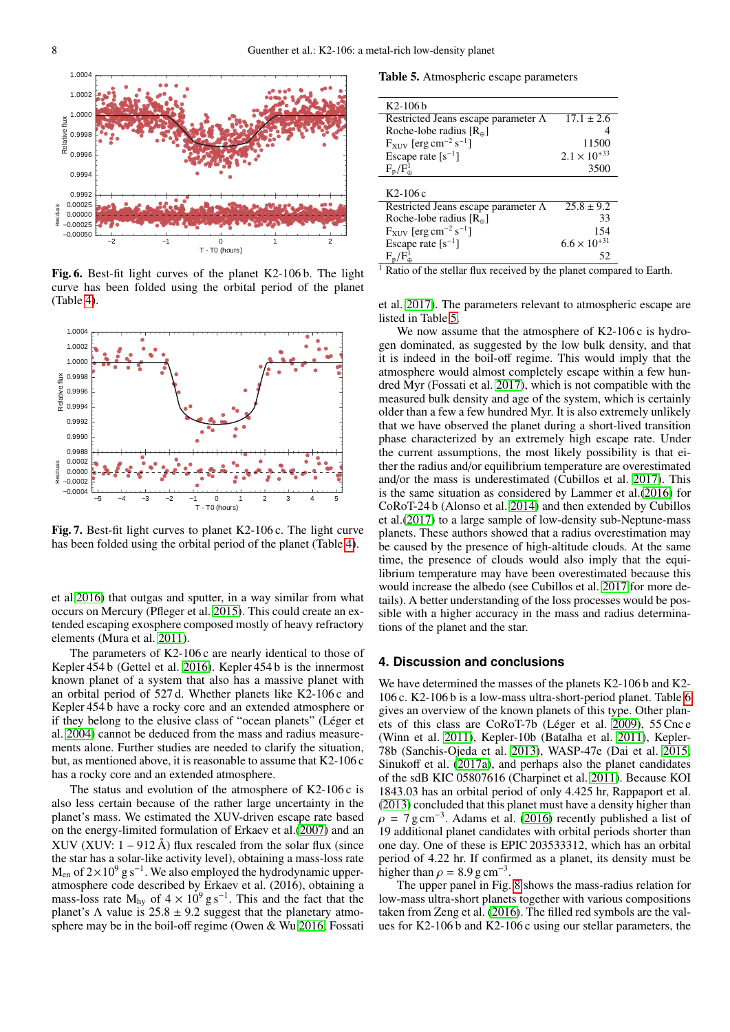

<span id="page-7-0"></span>Fig. 6. Best-fit light curves of the planet K2-106 b. The light curve has been folded using the orbital period of the planet (Table [4\)](#page-6-0).



<span id="page-7-1"></span>Fig. 7. Best-fit light curves to planet K2-106 c. The light curve has been folded using the orbital period of the planet (Table [4\)](#page-6-0).

et al[.2016\)](#page-9-29) that outgas and sputter, in a way similar from what occurs on Mercury (Pfleger et al. [2015\)](#page-10-35). This could create an extended escaping exosphere composed mostly of heavy refractory elements (Mura et al. [2011\)](#page-10-36).

The parameters of K2-106 c are nearly identical to those of Kepler 454 b (Gettel et al. [2016\)](#page-9-30). Kepler 454 b is the innermost known planet of a system that also has a massive planet with an orbital period of 527 d. Whether planets like K2-106 c and Kepler 454 b have a rocky core and an extended atmosphere or if they belong to the elusive class of "ocean planets" (Léger et al. [2004\)](#page-10-37) cannot be deduced from the mass and radius measurements alone. Further studies are needed to clarify the situation, but, as mentioned above, it is reasonable to assume that K2-106 c has a rocky core and an extended atmosphere.

The status and evolution of the atmosphere of K2-106 c is also less certain because of the rather large uncertainty in the planet's mass. We estimated the XUV-driven escape rate based on the energy-limited formulation of Erkaev et al.[\(2007\)](#page-9-31) and an XUV (XUV:  $1 - 912 \text{ Å}$ ) flux rescaled from the solar flux (since the star has a solar-like activity level), obtaining a mass-loss rate  $M_{en}$  of 2×10<sup>9</sup> g s<sup>-1</sup>. We also employed the hydrodynamic upperatmosphere code described by Erkaev et al. (2016), obtaining a mass-loss rate  $M_{hy}$  of  $4 \times 10^9$  g s<sup>-1</sup>. This and the fact that the planet's  $\Lambda$  value is 25.8  $\pm$  9.2 suggest that the planetary atmosphere may be in the boil-off regime (Owen & Wu [2016;](#page-10-8) Fossati

<span id="page-7-2"></span>Table 5. Atmospheric escape parameters

| $K2-106b$                                                                        |                       |  |  |  |
|----------------------------------------------------------------------------------|-----------------------|--|--|--|
| Restricted Jeans escape parameter $\Lambda$                                      | $17.1 \pm 2.6$        |  |  |  |
| Roche-lobe radius $[R_{\varphi}]$                                                |                       |  |  |  |
| $F_{\text{XUV}}$ [erg cm <sup>-2</sup> s <sup>-1</sup> ]                         | 11500                 |  |  |  |
| Escape rate $[s^{-1}]$                                                           | $2.1 \times 10^{+33}$ |  |  |  |
| $F_p/F_a^1$                                                                      | 3500                  |  |  |  |
|                                                                                  |                       |  |  |  |
| $K2-106c$                                                                        |                       |  |  |  |
| Restricted Jeans escape parameter $\Lambda$                                      | $25.8 \pm 9.2$        |  |  |  |
| Roche-lobe radius $[R_{\varphi}]$                                                | 33                    |  |  |  |
| $F_{XUV}$ [erg cm <sup>-2</sup> s <sup>-1</sup> ]                                | 154                   |  |  |  |
| Escape rate $[s^{-1}]$                                                           | $6.6 \times 10^{+31}$ |  |  |  |
| $F_p/F_a^1$                                                                      | 52                    |  |  |  |
| <sup>1</sup> Ratio of the stellar flux received by the planet compared to Earth. |                       |  |  |  |

et al. [2017\)](#page-9-8). The parameters relevant to atmospheric escape are listed in Table [5.](#page-7-2)

We now assume that the atmosphere of K2-106 c is hydrogen dominated, as suggested by the low bulk density, and that it is indeed in the boil-off regime. This would imply that the atmosphere would almost completely escape within a few hundred Myr (Fossati et al. [2017\)](#page-9-8), which is not compatible with the measured bulk density and age of the system, which is certainly older than a few a few hundred Myr. It is also extremely unlikely that we have observed the planet during a short-lived transition phase characterized by an extremely high escape rate. Under the current assumptions, the most likely possibility is that either the radius and/or equilibrium temperature are overestimated and/or the mass is underestimated (Cubillos et al. [2017\)](#page-9-7). This is the same situation as considered by Lammer et al.[\(2016\)](#page-10-38) for CoRoT-24 b (Alonso et al. [2014\)](#page-9-32) and then extended by Cubillos et al.[\(2017\)](#page-9-7) to a large sample of low-density sub-Neptune-mass planets. These authors showed that a radius overestimation may be caused by the presence of high-altitude clouds. At the same time, the presence of clouds would also imply that the equilibrium temperature may have been overestimated because this would increase the albedo (see Cubillos et al. [2017](#page-9-7) for more details). A better understanding of the loss processes would be possible with a higher accuracy in the mass and radius determinations of the planet and the star.

# **4. Discussion and conclusions**

We have determined the masses of the planets K2-106 b and K2- 106 c. K2-106 b is a low-mass ultra-short-period planet. Table [6](#page-8-0) gives an overview of the known planets of this type. Other plan-ets of this class are CoRoT-7b (Léger et al. [2009\)](#page-10-1), 55 Cnc e (Winn et al. [2011\)](#page-10-39), Kepler-10b (Batalha et al. [2011\)](#page-9-1), Kepler-78b (Sanchis-Ojeda et al. [2013\)](#page-10-2), WASP-47e (Dai et al. [2015;](#page-9-5) Sinukoff et al. [\(2017a\)](#page-10-4), and perhaps also the planet candidates of the sdB KIC 05807616 (Charpinet et al. [2011\)](#page-9-33). Because KOI 1843.03 has an orbital period of only 4.425 hr, Rappaport et al. [\(2013\)](#page-10-40) concluded that this planet must have a density higher than  $\rho = 7$  g cm<sup>-3</sup>. Adams et al. [\(2016\)](#page-9-34) recently published a list of 19 additional planet candidates with orbital periods shorter than 19 additional planet candidates with orbital periods shorter than one day. One of these is EPIC 203533312, which has an orbital period of 4.22 hr. If confirmed as a planet, its density must be higher than  $\rho = 8.9$  g cm<sup>-3</sup>.<br>The upper panel in Fig.

The upper panel in Fig. [8](#page-9-35) shows the mass-radius relation for low-mass ultra-short planets together with various compositions taken from Zeng et al. [\(2016\)](#page-10-41). The filled red symbols are the values for K2-106 b and K2-106 c using our stellar parameters, the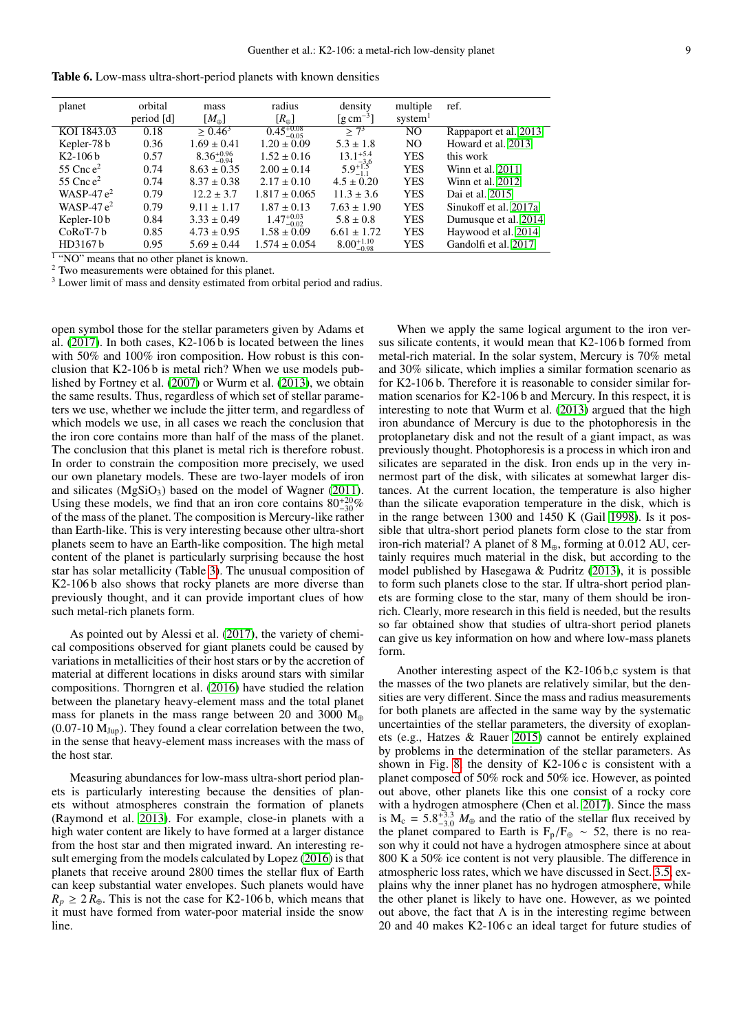<span id="page-8-0"></span>

| planet                                                 | orbital    | mass                   | radius                 | density                                     | multiple            | ref.                  |  |
|--------------------------------------------------------|------------|------------------------|------------------------|---------------------------------------------|---------------------|-----------------------|--|
|                                                        | period [d] | $[M_{\oplus}]$         | $[R_{\oplus}]$         | $\left[\text{g cm}^{-3}\right]$             | system <sup>1</sup> |                       |  |
| KOI 1843.03                                            | 0.18       | $> 0.46^3$             | $0.45^{+0.08}_{-0.05}$ | $> 7^3$                                     | N <sub>O</sub>      | Rappaport et al. 2013 |  |
| Kepler-78 b                                            | 0.36       | $1.69 \pm 0.41$        | $1.20 \pm 0.09$        | $5.3 \pm 1.8$                               | N <sub>O</sub>      | Howard et al. 2013    |  |
| $K2-106b$                                              | 0.57       | $8.36_{-0.94}^{+0.96}$ | $1.52 \pm 0.16$        |                                             | <b>YES</b>          | this work             |  |
| 55 Cnc $e^2$                                           | 0.74       | $8.63 \pm 0.35$        | $2.00 \pm 0.14$        | $13.1^{+5.4}_{-3.6}$<br>5.9 <sup>+1.5</sup> | <b>YES</b>          | Winn et al. 2011      |  |
| 55 Cnc $e^2$                                           | 0.74       | $8.37 \pm 0.38$        | $2.17 \pm 0.10$        | $4.5 \pm 0.20$                              | <b>YES</b>          | Winn et al. 2012      |  |
| WASP-47 $e^2$                                          | 0.79       | $12.2 \pm 3.7$         | $1.817 \pm 0.065$      | $11.3 \pm 3.6$                              | <b>YES</b>          | Dai et al. 2015       |  |
| WASP-47 $e^2$                                          | 0.79       | $9.11 \pm 1.17$        | $1.87 \pm 0.13$        | $7.63 \pm 1.90$                             | <b>YES</b>          | Sinukoff et al. 2017a |  |
| Kepler-10b                                             | 0.84       | $3.33 \pm 0.49$        | $1.47^{+0.03}_{-0.02}$ | $5.8 \pm 0.8$                               | <b>YES</b>          | Dumusque et al. 2014  |  |
| $CoRoT-7b$                                             | 0.85       | $4.73 \pm 0.95$        | $1.58 \pm 0.09$        | $6.61 \pm 1.72$                             | <b>YES</b>          | Haywood et al. 2014   |  |
| HD3167b                                                | 0.95       | $5.69 \pm 0.44$        | $1.574 \pm 0.054$      | $8.00_{-0.98}^{+1.10}$                      | <b>YES</b>          | Gandolfi et al. 2017  |  |
| <sup>1</sup> "NO" means that no other planet is known. |            |                        |                        |                                             |                     |                       |  |

<sup>2</sup> Two measurements were obtained for this planet.

<sup>3</sup> Lower limit of mass and density estimated from orbital period and radius.

open symbol those for the stellar parameters given by Adams et al. [\(2017\)](#page-9-11). In both cases, K2-106 b is located between the lines with 50% and 100% iron composition. How robust is this conclusion that K2-106 b is metal rich? When we use models published by Fortney et al. [\(2007\)](#page-9-38) or Wurm et al. [\(2013\)](#page-10-44), we obtain the same results. Thus, regardless of which set of stellar parameters we use, whether we include the jitter term, and regardless of which models we use, in all cases we reach the conclusion that the iron core contains more than half of the mass of the planet. The conclusion that this planet is metal rich is therefore robust. In order to constrain the composition more precisely, we used our own planetary models. These are two-layer models of iron and silicates ( $MgSiO_3$ ) based on the model of Wagner [\(2011\)](#page-10-45). Using these models, we find that an iron core contains  $80^{+20}_{-30}\%$ of the mass of the planet. The composition is Mercury-like rather than Earth-like. This is very interesting because other ultra-short planets seem to have an Earth-like composition. The high metal content of the planet is particularly surprising because the host star has solar metallicity (Table [3\)](#page-5-0). The unusual composition of K2-106 b also shows that rocky planets are more diverse than previously thought, and it can provide important clues of how such metal-rich planets form.

As pointed out by Alessi et al. [\(2017\)](#page-9-39), the variety of chemical compositions observed for giant planets could be caused by variations in metallicities of their host stars or by the accretion of material at different locations in disks around stars with similar compositions. Thorngren et al. [\(2016\)](#page-10-46) have studied the relation between the planetary heavy-element mass and the total planet mass for planets in the mass range between 20 and 3000  $M_{\oplus}$  $(0.07-10 M_{Jup})$ . They found a clear correlation between the two, in the sense that heavy-element mass increases with the mass of the host star.

Measuring abundances for low-mass ultra-short period planets is particularly interesting because the densities of planets without atmospheres constrain the formation of planets (Raymond et al. [2013\)](#page-10-9). For example, close-in planets with a high water content are likely to have formed at a larger distance from the host star and then migrated inward. An interesting result emerging from the models calculated by Lopez [\(2016\)](#page-10-47) is that planets that receive around 2800 times the stellar flux of Earth can keep substantial water envelopes. Such planets would have  $R_p \geq 2 R_{\oplus}$ . This is not the case for K2-106 b, which means that it must have formed from water-poor material inside the snow line.

When we apply the same logical argument to the iron versus silicate contents, it would mean that K2-106 b formed from metal-rich material. In the solar system, Mercury is 70% metal and 30% silicate, which implies a similar formation scenario as for K2-106 b. Therefore it is reasonable to consider similar formation scenarios for K2-106 b and Mercury. In this respect, it is interesting to note that Wurm et al. [\(2013\)](#page-10-44) argued that the high iron abundance of Mercury is due to the photophoresis in the protoplanetary disk and not the result of a giant impact, as was previously thought. Photophoresis is a process in which iron and silicates are separated in the disk. Iron ends up in the very innermost part of the disk, with silicates at somewhat larger distances. At the current location, the temperature is also higher than the silicate evaporation temperature in the disk, which is in the range between 1300 and 1450 K (Gail [1998\)](#page-9-40). Is it possible that ultra-short period planets form close to the star from iron-rich material? A planet of  $8 \text{ M}_{\oplus}$ , forming at 0.012 AU, certainly requires much material in the disk, but according to the model published by Hasegawa & Pudritz [\(2013\)](#page-10-48), it is possible to form such planets close to the star. If ultra-short period planets are forming close to the star, many of them should be ironrich. Clearly, more research in this field is needed, but the results so far obtained show that studies of ultra-short period planets can give us key information on how and where low-mass planets form.

Another interesting aspect of the K2-106 b,c system is that the masses of the two planets are relatively similar, but the densities are very different. Since the mass and radius measurements for both planets are affected in the same way by the systematic uncertainties of the stellar parameters, the diversity of exoplanets (e.g., Hatzes & Rauer [2015\)](#page-10-0) cannot be entirely explained by problems in the determination of the stellar parameters. As shown in Fig. [8,](#page-9-35) the density of K2-106c is consistent with a planet composed of 50% rock and 50% ice. However, as pointed out above, other planets like this one consist of a rocky core with a hydrogen atmosphere (Chen et al. [2017\)](#page-9-0). Since the mass is  $M_c = 5.8^{+3.3}_{-3.0} M_{\oplus}$  and the ratio of the stellar flux received by the planet compared to Earth is  $F_2/F_2 \approx 52$ , there is no reathe planet compared to Earth is  $F_p/F_\oplus \sim 52$ , there is no reason why it could not have a hydrogen atmosphere since at about 800 K a 50% ice content is not very plausible. The difference in atmospheric loss rates, which we have discussed in Sect. [3.5,](#page-6-1) explains why the inner planet has no hydrogen atmosphere, while the other planet is likely to have one. However, as we pointed out above, the fact that  $\Lambda$  is in the interesting regime between 20 and 40 makes K2-106 c an ideal target for future studies of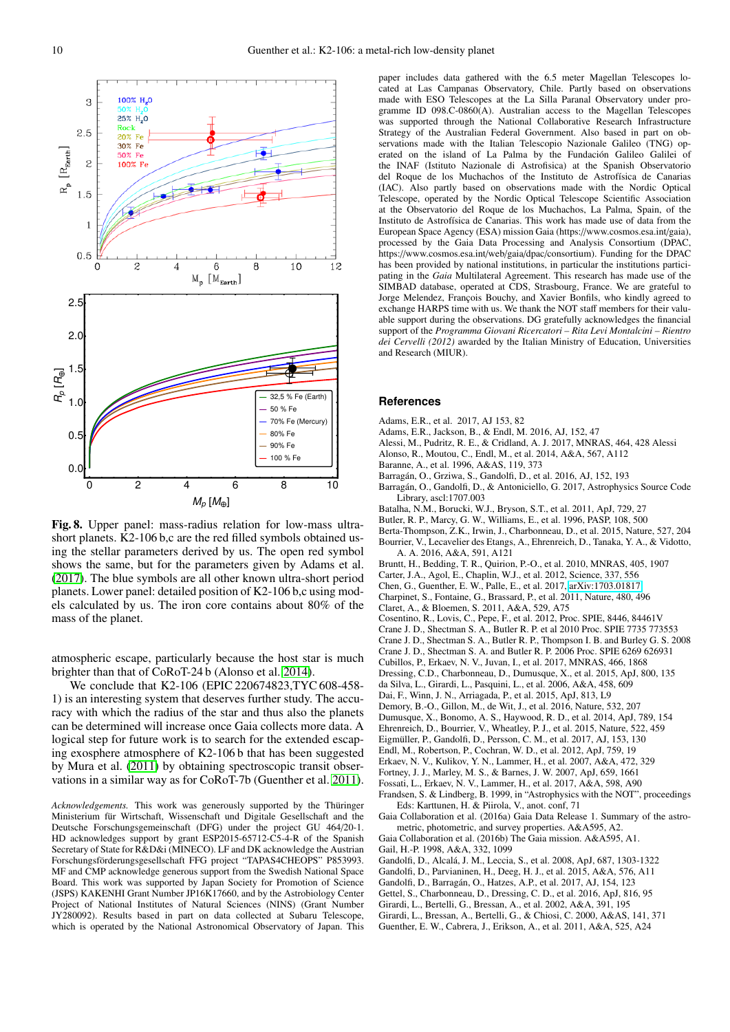

<span id="page-9-35"></span>Fig. 8. Upper panel: mass-radius relation for low-mass ultrashort planets. K2-106 b,c are the red filled symbols obtained using the stellar parameters derived by us. The open red symbol shows the same, but for the parameters given by Adams et al. [\(2017\)](#page-9-11). The blue symbols are all other known ultra-short period planets. Lower panel: detailed position of K2-106 b,c using models calculated by us. The iron core contains about 80% of the mass of the planet.

atmospheric escape, particularly because the host star is much brighter than that of CoRoT-24 b (Alonso et al. [2014\)](#page-9-32).

We conclude that K2-106 (EPIC 220674823,TYC 608-458- 1) is an interesting system that deserves further study. The accuracy with which the radius of the star and thus also the planets can be determined will increase once Gaia collects more data. A logical step for future work is to search for the extended escaping exosphere atmosphere of K2-106 b that has been suggested by Mura et al. [\(2011\)](#page-10-36) by obtaining spectroscopic transit observations in a similar way as for CoRoT-7b (Guenther et al. [2011\)](#page-9-41). paper includes data gathered with the 6.5 meter Magellan Telescopes located at Las Campanas Observatory, Chile. Partly based on observations made with ESO Telescopes at the La Silla Paranal Observatory under programme ID 098.C-0860(A). Australian access to the Magellan Telescopes was supported through the National Collaborative Research Infrastructure Strategy of the Australian Federal Government. Also based in part on observations made with the Italian Telescopio Nazionale Galileo (TNG) operated on the island of La Palma by the Fundación Galileo Galilei of the INAF (Istituto Nazionale di Astrofisica) at the Spanish Observatorio del Roque de los Muchachos of the Instituto de Astrofísica de Canarias (IAC). Also partly based on observations made with the Nordic Optical Telescope, operated by the Nordic Optical Telescope Scientific Association at the Observatorio del Roque de los Muchachos, La Palma, Spain, of the Instituto de Astrofísica de Canarias. This work has made use of data from the European Space Agency (ESA) mission Gaia (https://www.cosmos.esa.int/gaia), processed by the Gaia Data Processing and Analysis Consortium (DPAC, https://www.cosmos.esa.int/web/gaia/dpac/consortium). Funding for the DPAC has been provided by national institutions, in particular the institutions participating in the *Gaia* Multilateral Agreement. This research has made use of the SIMBAD database, operated at CDS, Strasbourg, France. We are grateful to Jorge Melendez, François Bouchy, and Xavier Bonfils, who kindly agreed to exchange HARPS time with us. We thank the NOT staff members for their valuable support during the observations. DG gratefully acknowledges the financial support of the *Programma Giovani Ricercatori – Rita Levi Montalcini – Rientro dei Cervelli (2012)* awarded by the Italian Ministry of Education, Universities and Research (MIUR).

#### **References**

- <span id="page-9-11"></span>Adams, E.R., et al. 2017, AJ 153, 82
- <span id="page-9-34"></span>Adams, E.R., Jackson, B., & Endl, M. 2016, AJ, 152, 47
- <span id="page-9-39"></span>Alessi, M., Pudritz, R. E., & Cridland, A. J. 2017, MNRAS, 464, 428 Alessi
- <span id="page-9-32"></span>Alonso, R., Moutou, C., Endl, M., et al. 2014, A&A, 567, A112
- <span id="page-9-20"></span>Baranne, A., et al. 1996, A&AS, 119, 373
- <span id="page-9-27"></span>Barragan, O., Grziwa, S., Gandolfi, D., et al. 2016, AJ, 152, 193 ´
- <span id="page-9-26"></span>Barragán, O., Gandolfi, D., & Antoniciello, G. 2017, Astrophysics Source Code Library, ascl:1707.003
- <span id="page-9-1"></span>Batalha, N.M., Borucki, W.J., Bryson, S.T., et al. 2011, ApJ, 729, 27
- <span id="page-9-15"></span>Butler, R. P., Marcy, G. W., Williams, E., et al. 1996, PASP, 108, 500
- <span id="page-9-9"></span><span id="page-9-4"></span>Berta-Thompson, Z.K., Irwin, J., Charbonneau, D., et al. 2015, Nature, 527, 204 Bourrier, V., Lecavelier des Etangs, A., Ehrenreich, D., Tanaka, Y. A., & Vidotto, A. A. 2016, A&A, 591, A121
- <span id="page-9-21"></span>Bruntt, H., Bedding, T. R., Quirion, P.-O., et al. 2010, MNRAS, 405, 1907
- <span id="page-9-2"></span>Carter, J.A., Agol, E., Chaplin, W.J., et al. 2012, Science, 337, 556
- <span id="page-9-0"></span>Chen, G., Guenther, E. W., Palle, E., et al. 2017, [arXiv:1703.01817](http://arxiv.org/abs/1703.01817)
- <span id="page-9-33"></span>Charpinet, S., Fontaine, G., Brassard, P., et al. 2011, Nature, 480, 496
- <span id="page-9-28"></span>Claret, A., & Bloemen, S. 2011, A&A, 529, A75
- <span id="page-9-19"></span>Cosentino, R., Lovis, C., Pepe, F., et al. 2012, Proc. SPIE, 8446, 84461V
- <span id="page-9-12"></span>Crane J. D., Shectman S. A., Butler R. P. et al 2010 Proc. SPIE 7735 773553
- <span id="page-9-13"></span>Crane J. D., Shectman S. A., Butler R. P., Thompson I. B. and Burley G. S. 2008
- <span id="page-9-14"></span>Crane J. D., Shectman S. A. and Butler R. P. 2006 Proc. SPIE 6269 626931
- <span id="page-9-7"></span>Cubillos, P., Erkaev, N. V., Juvan, I., et al. 2017, MNRAS, 466, 1868
- <span id="page-9-3"></span>Dressing, C.D., Charbonneau, D., Dumusque, X., et al. 2015, ApJ, 800, 135
- <span id="page-9-22"></span>da Silva, L., Girardi, L., Pasquini, L., et al. 2006, A&A, 458, 609
- <span id="page-9-5"></span>Dai, F., Winn, J. N., Arriagada, P., et al. 2015, ApJ, 813, L9
- <span id="page-9-29"></span>Demory, B.-O., Gillon, M., de Wit, J., et al. 2016, Nature, 532, 207
- <span id="page-9-37"></span>Dumusque, X., Bonomo, A. S., Haywood, R. D., et al. 2014, ApJ, 789, 154
- <span id="page-9-10"></span>Ehrenreich, D., Bourrier, V., Wheatley, P. J., et al. 2015, Nature, 522, 459
- <span id="page-9-16"></span>Eigmuller, P., Gandolfi, D., Persson, C. M., et al. 2017, AJ, 153, 130 ¨
- <span id="page-9-36"></span>Endl, M., Robertson, P., Cochran, W. D., et al. 2012, ApJ, 759, 19
- <span id="page-9-31"></span>Erkaev, N. V., Kulikov, Y. N., Lammer, H., et al. 2007, A&A, 472, 329
- <span id="page-9-38"></span>Fortney, J. J., Marley, M. S., & Barnes, J. W. 2007, ApJ, 659, 1661
- <span id="page-9-8"></span>Fossati, L., Erkaev, N. V., Lammer, H., et al. 2017, A&A, 598, A90
- <span id="page-9-17"></span>Frandsen, S. & Lindberg, B. 1999, in "Astrophysics with the NOT", proceedings Eds: Karttunen, H. & Piirola, V., anot. conf, 71
- <span id="page-9-23"></span>Gaia Collaboration et al. (2016a) Gaia Data Release 1. Summary of the astrometric, photometric, and survey properties. A&A595, A2.
- <span id="page-9-24"></span>Gaia Collaboration et al. (2016b) The Gaia mission. A&A595, A1. Gail, H.-P. 1998, A&A, 332, 1099
- <span id="page-9-40"></span>
- <span id="page-9-25"></span>Gandolfi, D., Alcala, J. M., Leccia, S., et al. 2008, ApJ, 687, 1303-1322 ´
- <span id="page-9-18"></span>Gandolfi, D., Parvianinen, H., Deeg, H. J., et al. 2015, A&A, 576, A11
- <span id="page-9-6"></span>Gandolfi, D., Barragán, O., Hatzes, A.P., et al. 2017, AJ, 154, 123
- <span id="page-9-30"></span>Gettel, S., Charbonneau, D., Dressing, C. D., et al. 2016, ApJ, 816, 95
- Girardi, L., Bertelli, G., Bressan, A., et al. 2002, A&A, 391, 195
- Girardi, L., Bressan, A., Bertelli, G., & Chiosi, C. 2000, A&AS, 141, 371
- <span id="page-9-41"></span>Guenther, E. W., Cabrera, J., Erikson, A., et al. 2011, A&A, 525, A24

*Acknowledgements*. This work was generously supported by the Thüringer Ministerium für Wirtschaft, Wissenschaft und Digitale Gesellschaft and the Deutsche Forschungsgemeinschaft (DFG) under the project GU 464/20-1. HD acknowledges support by grant ESP2015-65712-C5-4-R of the Spanish Secretary of State for R&D&i (MINECO). LF and DK acknowledge the Austrian Forschungsförderungsgesellschaft FFG project "TAPAS4CHEOPS" P853993. MF and CMP acknowledge generous support from the Swedish National Space Board. This work was supported by Japan Society for Promotion of Science (JSPS) KAKENHI Grant Number JP16K17660, and by the Astrobiology Center Project of National Institutes of Natural Sciences (NINS) (Grant Number JY280092). Results based in part on data collected at Subaru Telescope, which is operated by the National Astronomical Observatory of Japan. This